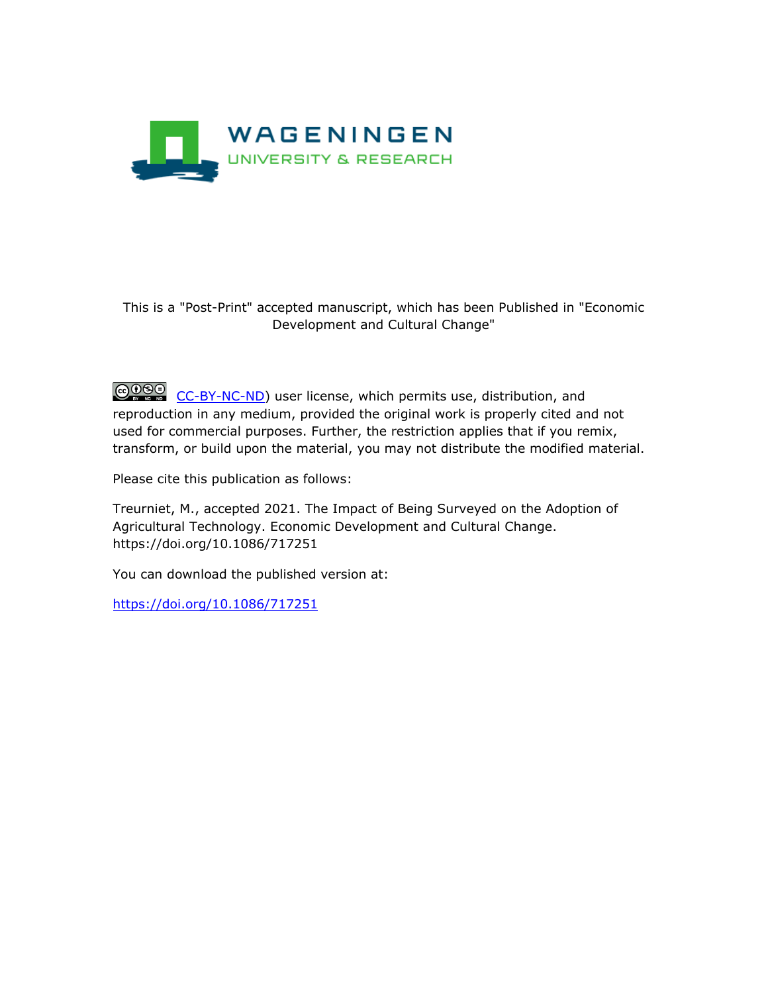

# This is a "Post-Print" accepted manuscript, which has been Published in "Economic Development and Cultural Change"

COSO [CC-BY-NC-ND\)](https://creativecommons.org/licenses/by-nc-nd/4.0/) user license, which permits use, distribution, and reproduction in any medium, provided the original work is properly cited and not used for commercial purposes. Further, the restriction applies that if you remix, transform, or build upon the material, you may not distribute the modified material.

Please cite this publication as follows:

Treurniet, M., accepted 2021. The Impact of Being Surveyed on the Adoption of Agricultural Technology. Economic Development and Cultural Change. https://doi.org/10.1086/717251

You can download the published version at:

<https://doi.org/10.1086/717251>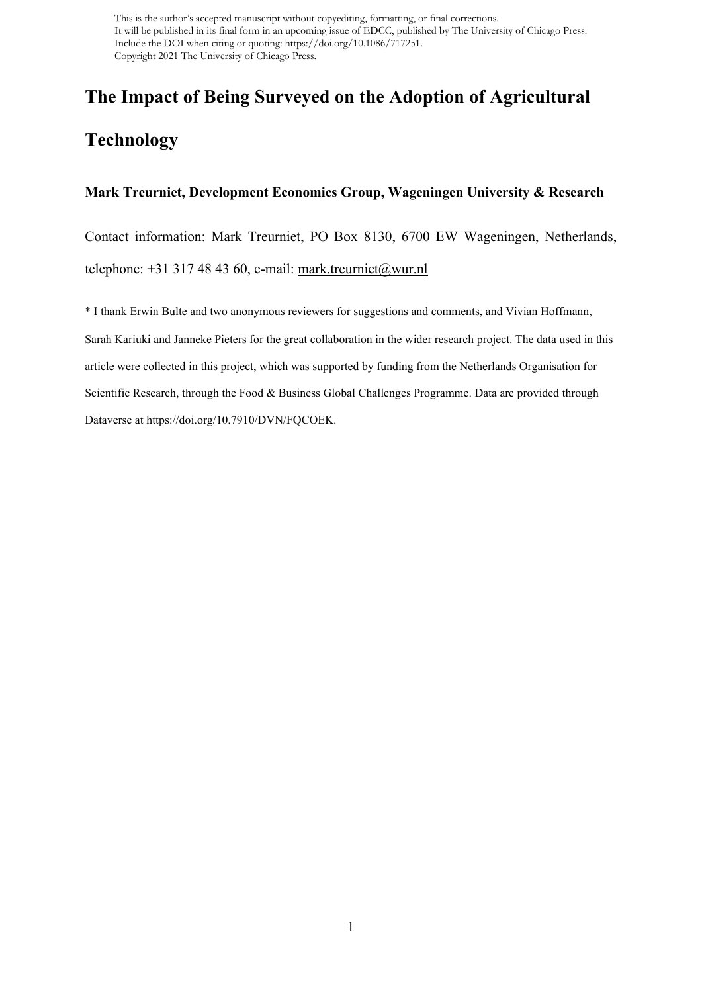# **The Impact of Being Surveyed on the Adoption of Agricultural Technology**

#### **Mark Treurniet, Development Economics Group, Wageningen University & Research**

Contact information: Mark Treurniet, PO Box 8130, 6700 EW Wageningen, Netherlands, telephone:  $+31317484360$ , e-mail: [mark.treurniet@wur.nl](mailto:mark.treurniet@wur.nl)

\* I thank Erwin Bulte and two anonymous reviewers for suggestions and comments, and Vivian Hoffmann, Sarah Kariuki and Janneke Pieters for the great collaboration in the wider research project. The data used in this article were collected in this project, which was supported by funding from the Netherlands Organisation for Scientific Research, through the Food & Business Global Challenges Programme. Data are provided through Dataverse at [https://doi.org/10.7910/DVN/FQCOEK.](https://doi.org/10.7910/DVN/FQCOEK)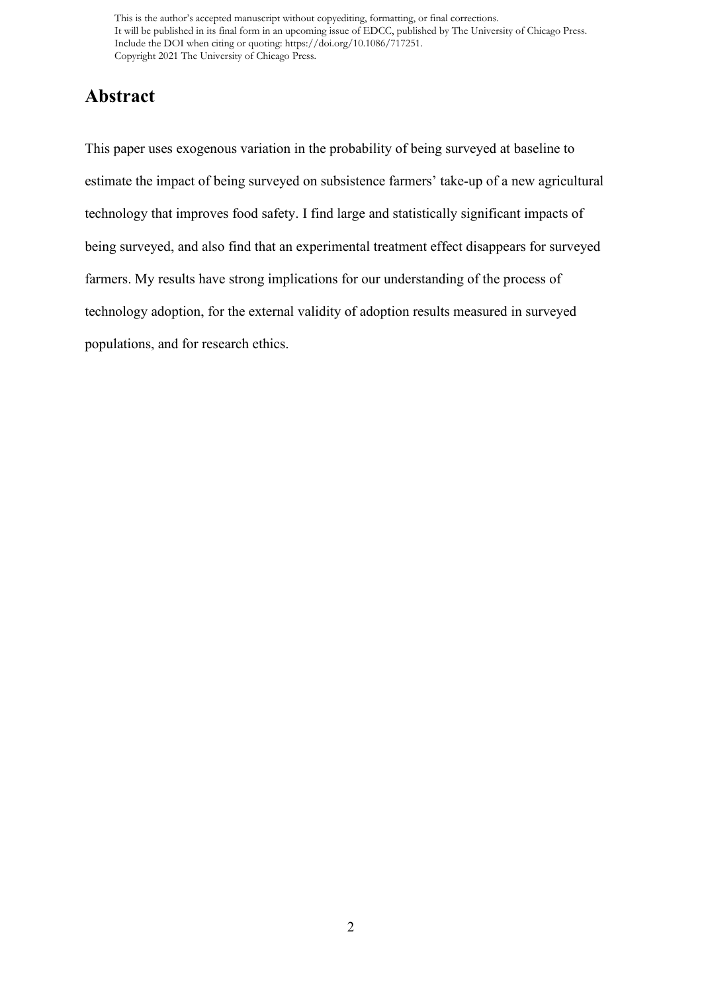# **Abstract**

This paper uses exogenous variation in the probability of being surveyed at baseline to estimate the impact of being surveyed on subsistence farmers' take-up of a new agricultural technology that improves food safety. I find large and statistically significant impacts of being surveyed, and also find that an experimental treatment effect disappears for surveyed farmers. My results have strong implications for our understanding of the process of technology adoption, for the external validity of adoption results measured in surveyed populations, and for research ethics.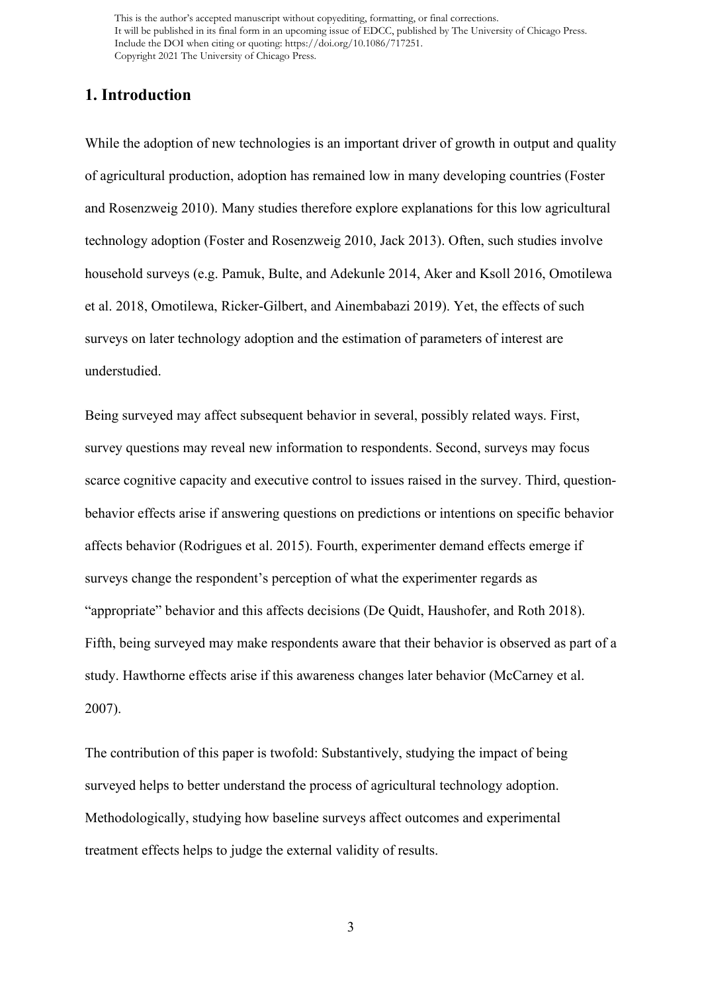# **1. Introduction**

While the adoption of new technologies is an important driver of growth in output and quality of agricultural production, adoption has remained low in many developing countries (Foster and Rosenzweig 2010). Many studies therefore explore explanations for this low agricultural technology adoption (Foster and Rosenzweig 2010, Jack 2013). Often, such studies involve household surveys (e.g. Pamuk, Bulte, and Adekunle 2014, Aker and Ksoll 2016, Omotilewa et al. 2018, Omotilewa, Ricker-Gilbert, and Ainembabazi 2019). Yet, the effects of such surveys on later technology adoption and the estimation of parameters of interest are understudied.

Being surveyed may affect subsequent behavior in several, possibly related ways. First, survey questions may reveal new information to respondents. Second, surveys may focus scarce cognitive capacity and executive control to issues raised in the survey. Third, questionbehavior effects arise if answering questions on predictions or intentions on specific behavior affects behavior (Rodrigues et al. 2015). Fourth, experimenter demand effects emerge if surveys change the respondent's perception of what the experimenter regards as "appropriate" behavior and this affects decisions (De Quidt, Haushofer, and Roth 2018). Fifth, being surveyed may make respondents aware that their behavior is observed as part of a study. Hawthorne effects arise if this awareness changes later behavior (McCarney et al. 2007).

The contribution of this paper is twofold: Substantively, studying the impact of being surveyed helps to better understand the process of agricultural technology adoption. Methodologically, studying how baseline surveys affect outcomes and experimental treatment effects helps to judge the external validity of results.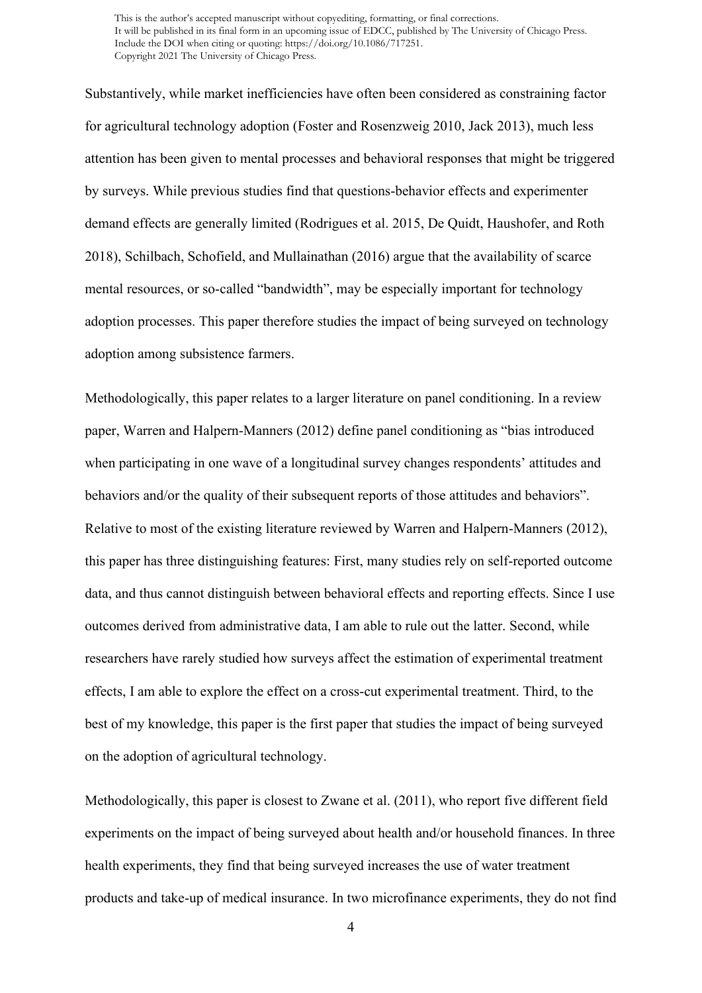Substantively, while market inefficiencies have often been considered as constraining factor for agricultural technology adoption (Foster and Rosenzweig 2010, Jack 2013), much less attention has been given to mental processes and behavioral responses that might be triggered by surveys. While previous studies find that questions-behavior effects and experimenter demand effects are generally limited (Rodrigues et al. 2015, De Quidt, Haushofer, and Roth 2018), Schilbach, Schofield, and Mullainathan (2016) argue that the availability of scarce mental resources, or so-called "bandwidth", may be especially important for technology adoption processes. This paper therefore studies the impact of being surveyed on technology adoption among subsistence farmers.

Methodologically, this paper relates to a larger literature on panel conditioning. In a review paper, Warren and Halpern-Manners (2012) define panel conditioning as "bias introduced when participating in one wave of a longitudinal survey changes respondents' attitudes and behaviors and/or the quality of their subsequent reports of those attitudes and behaviors". Relative to most of the existing literature reviewed by Warren and Halpern-Manners (2012), this paper has three distinguishing features: First, many studies rely on self-reported outcome data, and thus cannot distinguish between behavioral effects and reporting effects. Since I use outcomes derived from administrative data, I am able to rule out the latter. Second, while researchers have rarely studied how surveys affect the estimation of experimental treatment effects, I am able to explore the effect on a cross-cut experimental treatment. Third, to the best of my knowledge, this paper is the first paper that studies the impact of being surveyed on the adoption of agricultural technology.

Methodologically, this paper is closest to Zwane et al. (2011), who report five different field experiments on the impact of being surveyed about health and/or household finances. In three health experiments, they find that being surveyed increases the use of water treatment products and take-up of medical insurance. In two microfinance experiments, they do not find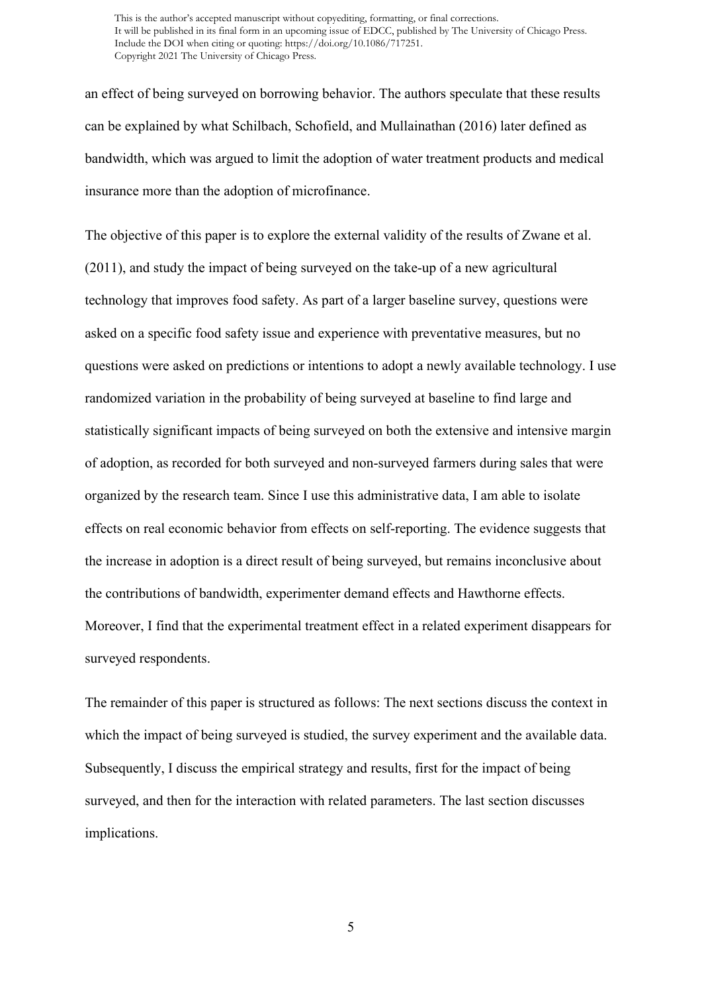an effect of being surveyed on borrowing behavior. The authors speculate that these results can be explained by what Schilbach, Schofield, and Mullainathan (2016) later defined as bandwidth, which was argued to limit the adoption of water treatment products and medical insurance more than the adoption of microfinance.

The objective of this paper is to explore the external validity of the results of Zwane et al. (2011), and study the impact of being surveyed on the take-up of a new agricultural technology that improves food safety. As part of a larger baseline survey, questions were asked on a specific food safety issue and experience with preventative measures, but no questions were asked on predictions or intentions to adopt a newly available technology. I use randomized variation in the probability of being surveyed at baseline to find large and statistically significant impacts of being surveyed on both the extensive and intensive margin of adoption, as recorded for both surveyed and non-surveyed farmers during sales that were organized by the research team. Since I use this administrative data, I am able to isolate effects on real economic behavior from effects on self-reporting. The evidence suggests that the increase in adoption is a direct result of being surveyed, but remains inconclusive about the contributions of bandwidth, experimenter demand effects and Hawthorne effects. Moreover, I find that the experimental treatment effect in a related experiment disappears for surveyed respondents.

The remainder of this paper is structured as follows: The next sections discuss the context in which the impact of being surveyed is studied, the survey experiment and the available data. Subsequently, I discuss the empirical strategy and results, first for the impact of being surveyed, and then for the interaction with related parameters. The last section discusses implications.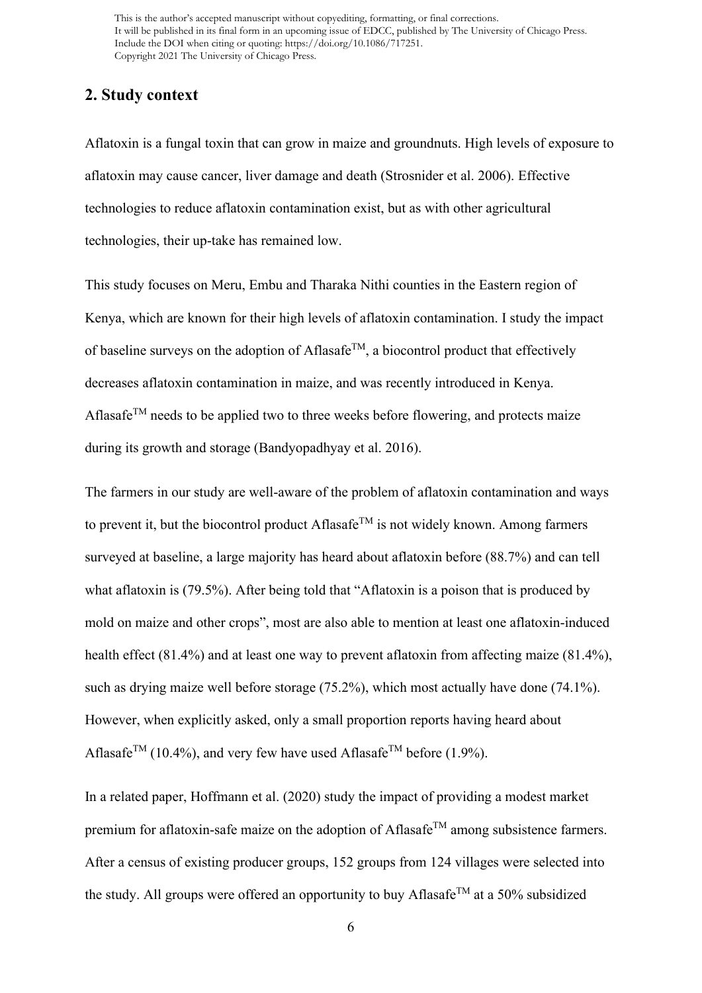# **2. Study context**

Aflatoxin is a fungal toxin that can grow in maize and groundnuts. High levels of exposure to aflatoxin may cause cancer, liver damage and death (Strosnider et al. 2006). Effective technologies to reduce aflatoxin contamination exist, but as with other agricultural technologies, their up-take has remained low.

This study focuses on Meru, Embu and Tharaka Nithi counties in the Eastern region of Kenya, which are known for their high levels of aflatoxin contamination. I study the impact of baseline surveys on the adoption of Aflasafe<sup>TM</sup>, a biocontrol product that effectively decreases aflatoxin contamination in maize, and was recently introduced in Kenya. Aflasafe<sup>TM</sup> needs to be applied two to three weeks before flowering, and protects maize during its growth and storage (Bandyopadhyay et al. 2016).

The farmers in our study are well-aware of the problem of aflatoxin contamination and ways to prevent it, but the biocontrol product Aflasafe<sup>TM</sup> is not widely known. Among farmers surveyed at baseline, a large majority has heard about aflatoxin before (88.7%) and can tell what aflatoxin is (79.5%). After being told that "Aflatoxin is a poison that is produced by mold on maize and other crops", most are also able to mention at least one aflatoxin-induced health effect (81.4%) and at least one way to prevent aflatoxin from affecting maize (81.4%), such as drying maize well before storage (75.2%), which most actually have done (74.1%). However, when explicitly asked, only a small proportion reports having heard about Aflasafe<sup>TM</sup> (10.4%), and very few have used Aflasafe<sup>TM</sup> before (1.9%).

In a related paper, Hoffmann et al. (2020) study the impact of providing a modest market premium for aflatoxin-safe maize on the adoption of Aflasafe<sup>TM</sup> among subsistence farmers. After a census of existing producer groups, 152 groups from 124 villages were selected into the study. All groups were offered an opportunity to buy Aflasafe<sup>TM</sup> at a 50% subsidized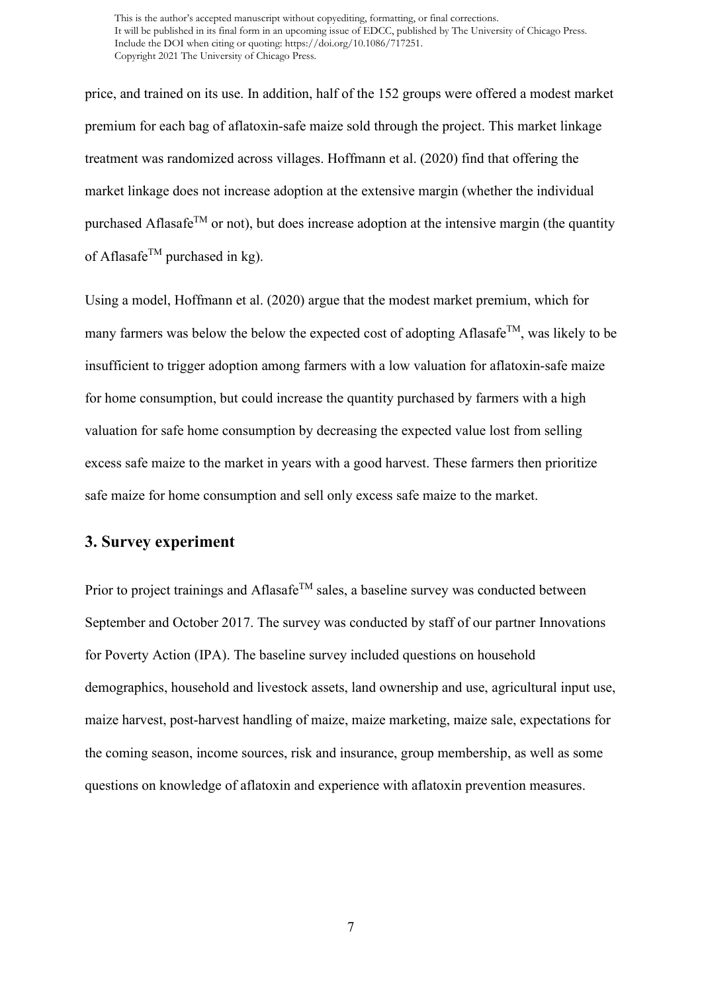price, and trained on its use. In addition, half of the 152 groups were offered a modest market premium for each bag of aflatoxin-safe maize sold through the project. This market linkage treatment was randomized across villages. Hoffmann et al. (2020) find that offering the market linkage does not increase adoption at the extensive margin (whether the individual purchased Aflasafe<sup>TM</sup> or not), but does increase adoption at the intensive margin (the quantity of Aflasafe<sup>TM</sup> purchased in kg).

Using a model, Hoffmann et al. (2020) argue that the modest market premium, which for many farmers was below the below the expected cost of adopting Aflasafe<sup>TM</sup>, was likely to be insufficient to trigger adoption among farmers with a low valuation for aflatoxin-safe maize for home consumption, but could increase the quantity purchased by farmers with a high valuation for safe home consumption by decreasing the expected value lost from selling excess safe maize to the market in years with a good harvest. These farmers then prioritize safe maize for home consumption and sell only excess safe maize to the market.

# **3. Survey experiment**

Prior to project trainings and Aflasafe<sup>TM</sup> sales, a baseline survey was conducted between September and October 2017. The survey was conducted by staff of our partner Innovations for Poverty Action (IPA). The baseline survey included questions on household demographics, household and livestock assets, land ownership and use, agricultural input use, maize harvest, post-harvest handling of maize, maize marketing, maize sale, expectations for the coming season, income sources, risk and insurance, group membership, as well as some questions on knowledge of aflatoxin and experience with aflatoxin prevention measures.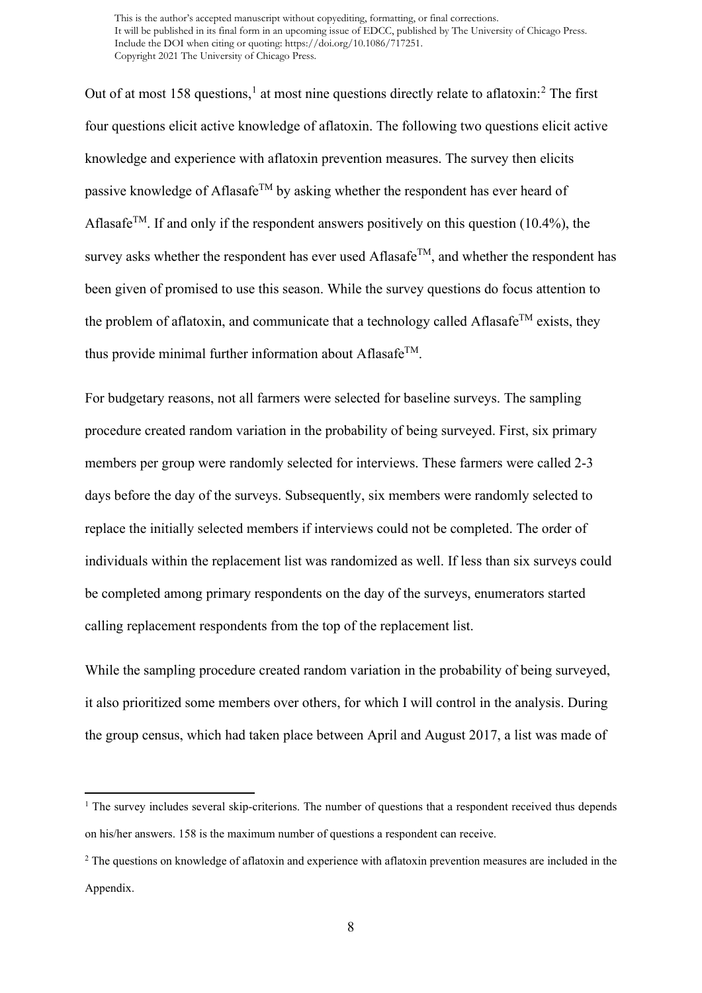Out of at most [1](#page-8-0)58 questions,<sup>1</sup> at most nine questions directly relate to aflatoxin:<sup>[2](#page-8-1)</sup> The first four questions elicit active knowledge of aflatoxin. The following two questions elicit active knowledge and experience with aflatoxin prevention measures. The survey then elicits passive knowledge of Aflasafe<sup>TM</sup> by asking whether the respondent has ever heard of Aflasafe<sup>TM</sup>. If and only if the respondent answers positively on this question (10.4%), the survey asks whether the respondent has ever used Aflasafe<sup>TM</sup>, and whether the respondent has been given of promised to use this season. While the survey questions do focus attention to the problem of aflatoxin, and communicate that a technology called Aflasafe<sup>TM</sup> exists, they thus provide minimal further information about AflasafeTM.

For budgetary reasons, not all farmers were selected for baseline surveys. The sampling procedure created random variation in the probability of being surveyed. First, six primary members per group were randomly selected for interviews. These farmers were called 2-3 days before the day of the surveys. Subsequently, six members were randomly selected to replace the initially selected members if interviews could not be completed. The order of individuals within the replacement list was randomized as well. If less than six surveys could be completed among primary respondents on the day of the surveys, enumerators started calling replacement respondents from the top of the replacement list.

While the sampling procedure created random variation in the probability of being surveyed, it also prioritized some members over others, for which I will control in the analysis. During the group census, which had taken place between April and August 2017, a list was made of

<span id="page-8-0"></span> $<sup>1</sup>$  The survey includes several skip-criterions. The number of questions that a respondent received thus depends</sup> on his/her answers. 158 is the maximum number of questions a respondent can receive.

<span id="page-8-1"></span><sup>&</sup>lt;sup>2</sup> The questions on knowledge of aflatoxin and experience with aflatoxin prevention measures are included in the Appendix.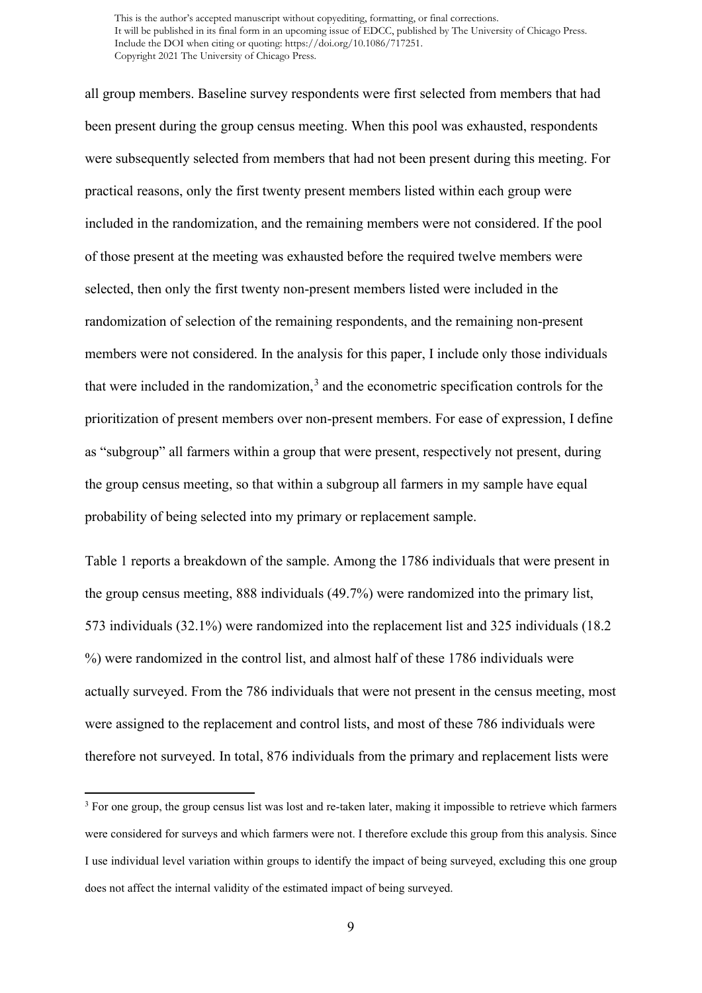all group members. Baseline survey respondents were first selected from members that had been present during the group census meeting. When this pool was exhausted, respondents were subsequently selected from members that had not been present during this meeting. For practical reasons, only the first twenty present members listed within each group were included in the randomization, and the remaining members were not considered. If the pool of those present at the meeting was exhausted before the required twelve members were selected, then only the first twenty non-present members listed were included in the randomization of selection of the remaining respondents, and the remaining non-present members were not considered. In the analysis for this paper, I include only those individuals that were included in the randomization, $3$  and the econometric specification controls for the prioritization of present members over non-present members. For ease of expression, I define as "subgroup" all farmers within a group that were present, respectively not present, during the group census meeting, so that within a subgroup all farmers in my sample have equal probability of being selected into my primary or replacement sample.

Table 1 reports a breakdown of the sample. Among the 1786 individuals that were present in the group census meeting, 888 individuals (49.7%) were randomized into the primary list, 573 individuals (32.1%) were randomized into the replacement list and 325 individuals (18.2 %) were randomized in the control list, and almost half of these 1786 individuals were actually surveyed. From the 786 individuals that were not present in the census meeting, most were assigned to the replacement and control lists, and most of these 786 individuals were therefore not surveyed. In total, 876 individuals from the primary and replacement lists were

<span id="page-9-0"></span><sup>&</sup>lt;sup>3</sup> For one group, the group census list was lost and re-taken later, making it impossible to retrieve which farmers were considered for surveys and which farmers were not. I therefore exclude this group from this analysis. Since I use individual level variation within groups to identify the impact of being surveyed, excluding this one group does not affect the internal validity of the estimated impact of being surveyed.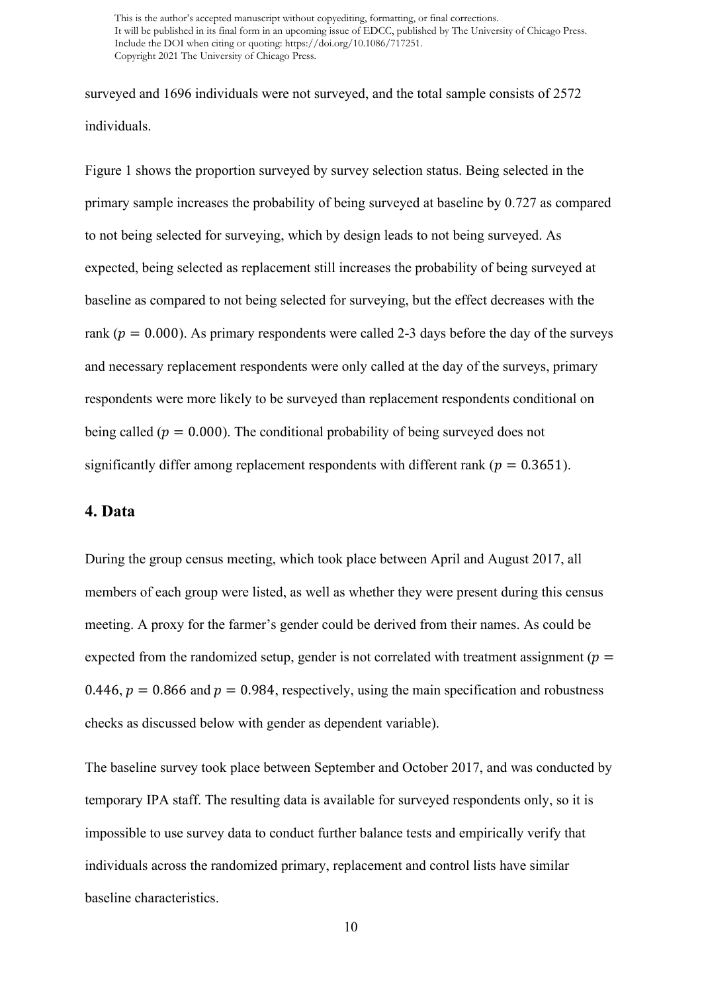surveyed and 1696 individuals were not surveyed, and the total sample consists of 2572 individuals.

Figure 1 shows the proportion surveyed by survey selection status. Being selected in the primary sample increases the probability of being surveyed at baseline by 0.727 as compared to not being selected for surveying, which by design leads to not being surveyed. As expected, being selected as replacement still increases the probability of being surveyed at baseline as compared to not being selected for surveying, but the effect decreases with the rank ( $p = 0.000$ ). As primary respondents were called 2-3 days before the day of the surveys and necessary replacement respondents were only called at the day of the surveys, primary respondents were more likely to be surveyed than replacement respondents conditional on being called ( $p = 0.000$ ). The conditional probability of being surveyed does not significantly differ among replacement respondents with different rank ( $p = 0.3651$ ).

## **4. Data**

During the group census meeting, which took place between April and August 2017, all members of each group were listed, as well as whether they were present during this census meeting. A proxy for the farmer's gender could be derived from their names. As could be expected from the randomized setup, gender is not correlated with treatment assignment ( $p =$ 0.446,  $p = 0.866$  and  $p = 0.984$ , respectively, using the main specification and robustness checks as discussed below with gender as dependent variable).

The baseline survey took place between September and October 2017, and was conducted by temporary IPA staff. The resulting data is available for surveyed respondents only, so it is impossible to use survey data to conduct further balance tests and empirically verify that individuals across the randomized primary, replacement and control lists have similar baseline characteristics.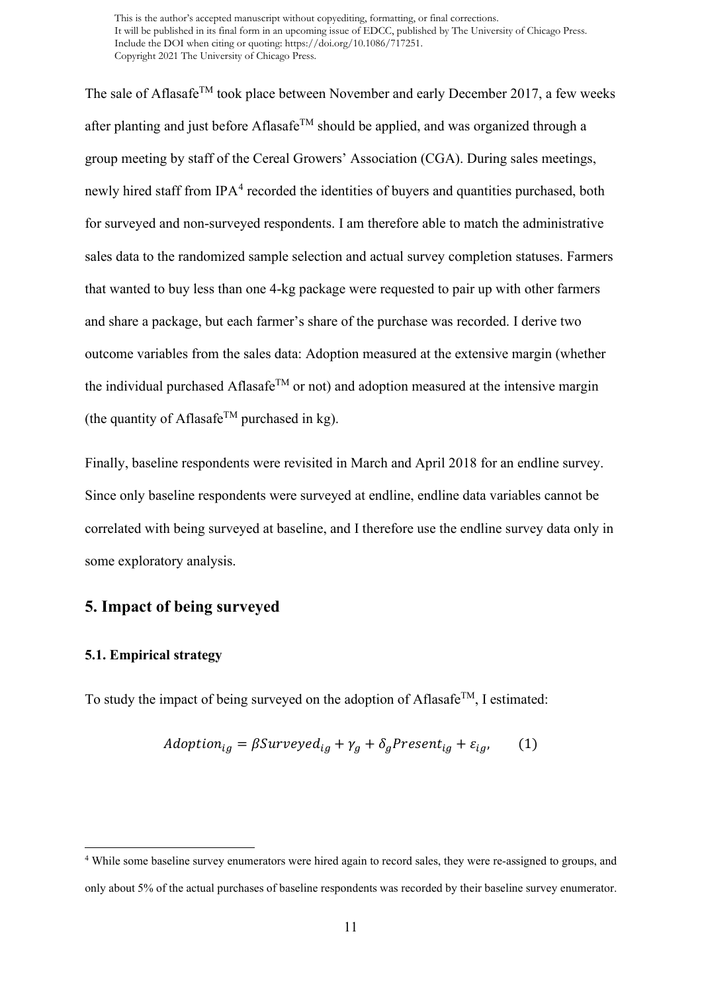The sale of Aflasafe<sup>TM</sup> took place between November and early December 2017, a few weeks after planting and just before Aflasafe<sup>TM</sup> should be applied, and was organized through a group meeting by staff of the Cereal Growers' Association (CGA). During sales meetings, newly hired staff from  $IPA^4$  $IPA^4$  recorded the identities of buyers and quantities purchased, both for surveyed and non-surveyed respondents. I am therefore able to match the administrative sales data to the randomized sample selection and actual survey completion statuses. Farmers that wanted to buy less than one 4-kg package were requested to pair up with other farmers and share a package, but each farmer's share of the purchase was recorded. I derive two outcome variables from the sales data: Adoption measured at the extensive margin (whether the individual purchased Aflasafe<sup>TM</sup> or not) and adoption measured at the intensive margin (the quantity of Aflasafe<sup>TM</sup> purchased in kg).

Finally, baseline respondents were revisited in March and April 2018 for an endline survey. Since only baseline respondents were surveyed at endline, endline data variables cannot be correlated with being surveyed at baseline, and I therefore use the endline survey data only in some exploratory analysis.

# **5. Impact of being surveyed**

#### **5.1. Empirical strategy**

To study the impact of being surveyed on the adoption of Aflasafe<sup>TM</sup>, I estimated:

$$
Adoption_{ig} = \beta Surveyed_{ig} + \gamma_g + \delta_g Present_{ig} + \varepsilon_{ig}, \tag{1}
$$

<span id="page-11-0"></span><sup>4</sup> While some baseline survey enumerators were hired again to record sales, they were re-assigned to groups, and only about 5% of the actual purchases of baseline respondents was recorded by their baseline survey enumerator.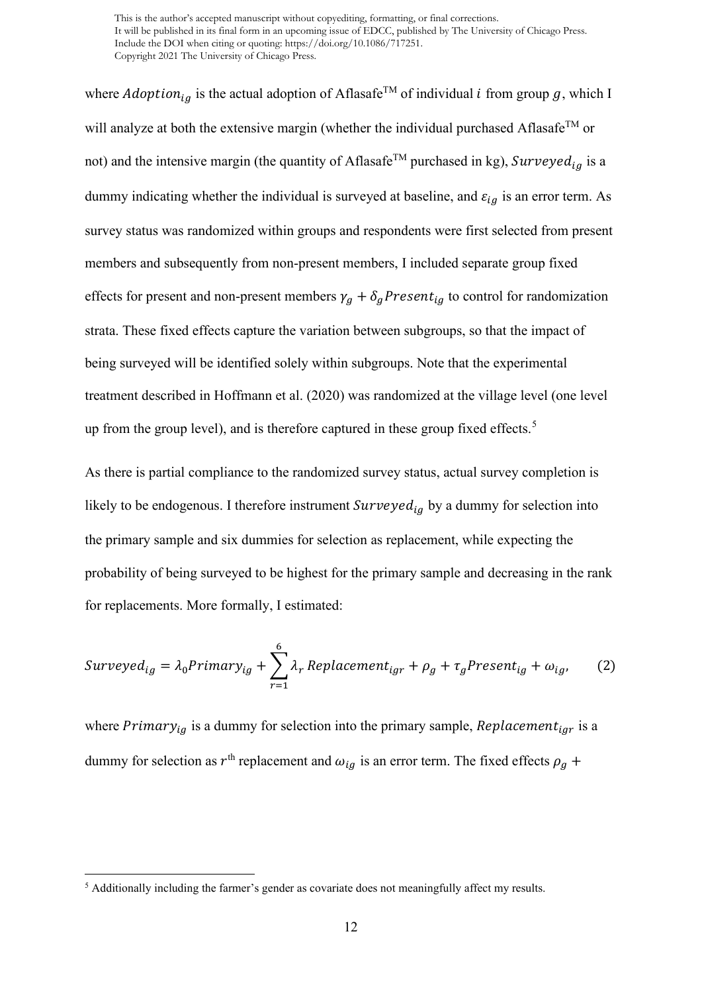where *Adoption*<sub>ig</sub> is the actual adoption of Aflasafe<sup>TM</sup> of individual *i* from group g, which I will analyze at both the extensive margin (whether the individual purchased Aflasafe<sup>TM</sup> or not) and the intensive margin (the quantity of Aflasafe<sup>TM</sup> purchased in kg), Surveyed<sub>ia</sub> is a dummy indicating whether the individual is surveyed at baseline, and  $\varepsilon_{ig}$  is an error term. As survey status was randomized within groups and respondents were first selected from present members and subsequently from non-present members, I included separate group fixed effects for present and non-present members  $\gamma_g + \delta_g$ Present<sub>ig</sub> to control for randomization strata. These fixed effects capture the variation between subgroups, so that the impact of being surveyed will be identified solely within subgroups. Note that the experimental treatment described in Hoffmann et al. (2020) was randomized at the village level (one level up from the group level), and is therefore captured in these group fixed effects.<sup>[5](#page-12-0)</sup>

As there is partial compliance to the randomized survey status, actual survey completion is likely to be endogenous. I therefore instrument  $\textit{Surveyed}_{ig}$  by a dummy for selection into the primary sample and six dummies for selection as replacement, while expecting the probability of being surveyed to be highest for the primary sample and decreasing in the rank for replacements. More formally, I estimated:

$$
Surveyed_{ig} = \lambda_0 Primary_{ig} + \sum_{r=1}^{6} \lambda_r Replacement_{igr} + \rho_g + \tau_g Present_{ig} + \omega_{ig}, \qquad (2)
$$

where  $Primary_{iq}$  is a dummy for selection into the primary sample,  $Replacement_{iqr}$  is a dummy for selection as  $r<sup>th</sup>$  replacement and  $\omega_{ig}$  is an error term. The fixed effects  $\rho_g$  +

<span id="page-12-0"></span><sup>&</sup>lt;sup>5</sup> Additionally including the farmer's gender as covariate does not meaningfully affect my results.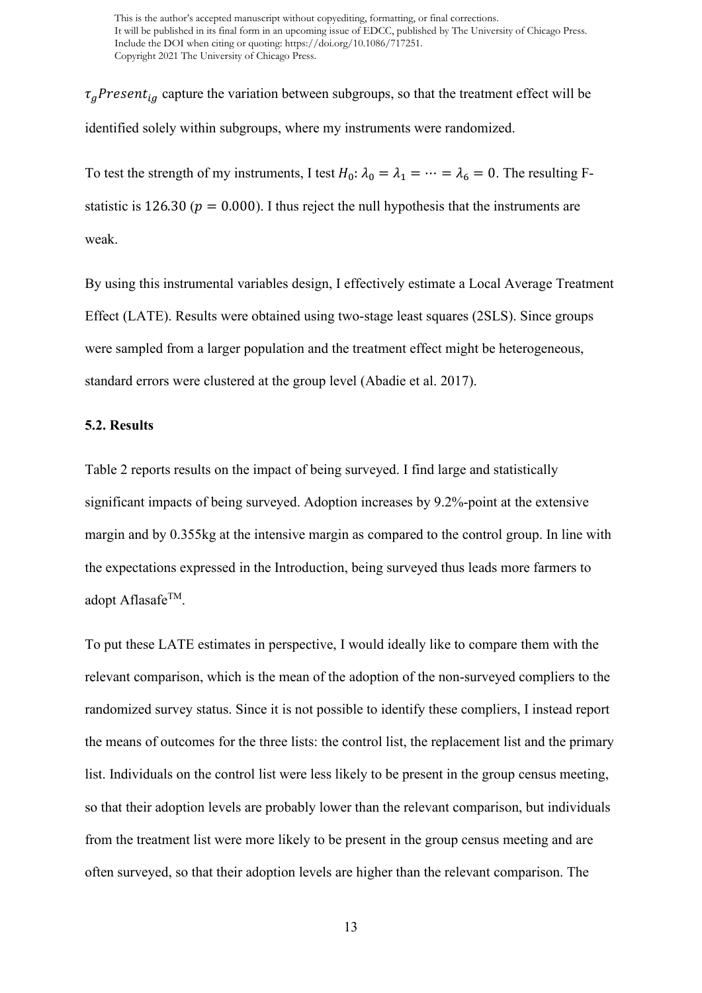$\tau_g$ Present<sub>ig</sub> capture the variation between subgroups, so that the treatment effect will be identified solely within subgroups, where my instruments were randomized.

To test the strength of my instruments, I test  $H_0: \lambda_0 = \lambda_1 = \cdots = \lambda_6 = 0$ . The resulting Fstatistic is 126.30 ( $p = 0.000$ ). I thus reject the null hypothesis that the instruments are weak.

By using this instrumental variables design, I effectively estimate a Local Average Treatment Effect (LATE). Results were obtained using two-stage least squares (2SLS). Since groups were sampled from a larger population and the treatment effect might be heterogeneous, standard errors were clustered at the group level (Abadie et al. 2017).

#### **5.2. Results**

Table 2 reports results on the impact of being surveyed. I find large and statistically significant impacts of being surveyed. Adoption increases by 9.2%-point at the extensive margin and by 0.355kg at the intensive margin as compared to the control group. In line with the expectations expressed in the Introduction, being surveyed thus leads more farmers to adopt Aflasafe<sup>TM</sup>.

To put these LATE estimates in perspective, I would ideally like to compare them with the relevant comparison, which is the mean of the adoption of the non-surveyed compliers to the randomized survey status. Since it is not possible to identify these compliers, I instead report the means of outcomes for the three lists: the control list, the replacement list and the primary list. Individuals on the control list were less likely to be present in the group census meeting, so that their adoption levels are probably lower than the relevant comparison, but individuals from the treatment list were more likely to be present in the group census meeting and are often surveyed, so that their adoption levels are higher than the relevant comparison. The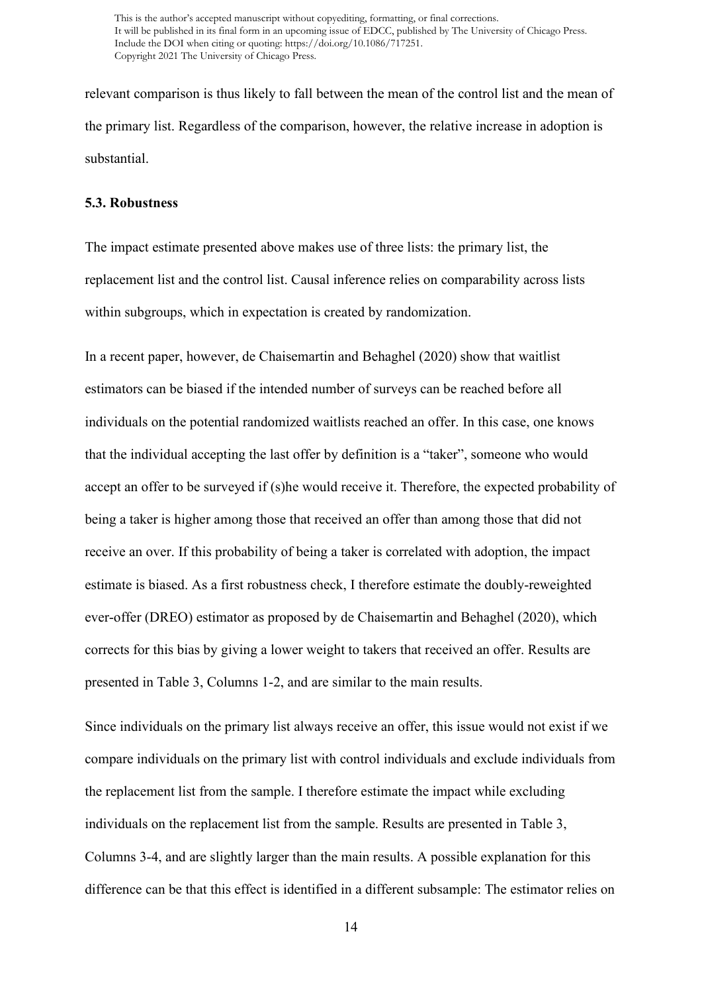relevant comparison is thus likely to fall between the mean of the control list and the mean of the primary list. Regardless of the comparison, however, the relative increase in adoption is substantial.

#### **5.3. Robustness**

The impact estimate presented above makes use of three lists: the primary list, the replacement list and the control list. Causal inference relies on comparability across lists within subgroups, which in expectation is created by randomization.

In a recent paper, however, de Chaisemartin and Behaghel (2020) show that waitlist estimators can be biased if the intended number of surveys can be reached before all individuals on the potential randomized waitlists reached an offer. In this case, one knows that the individual accepting the last offer by definition is a "taker", someone who would accept an offer to be surveyed if (s)he would receive it. Therefore, the expected probability of being a taker is higher among those that received an offer than among those that did not receive an over. If this probability of being a taker is correlated with adoption, the impact estimate is biased. As a first robustness check, I therefore estimate the doubly-reweighted ever-offer (DREO) estimator as proposed by de Chaisemartin and Behaghel (2020), which corrects for this bias by giving a lower weight to takers that received an offer. Results are presented in Table 3, Columns 1-2, and are similar to the main results.

Since individuals on the primary list always receive an offer, this issue would not exist if we compare individuals on the primary list with control individuals and exclude individuals from the replacement list from the sample. I therefore estimate the impact while excluding individuals on the replacement list from the sample. Results are presented in Table 3, Columns 3-4, and are slightly larger than the main results. A possible explanation for this difference can be that this effect is identified in a different subsample: The estimator relies on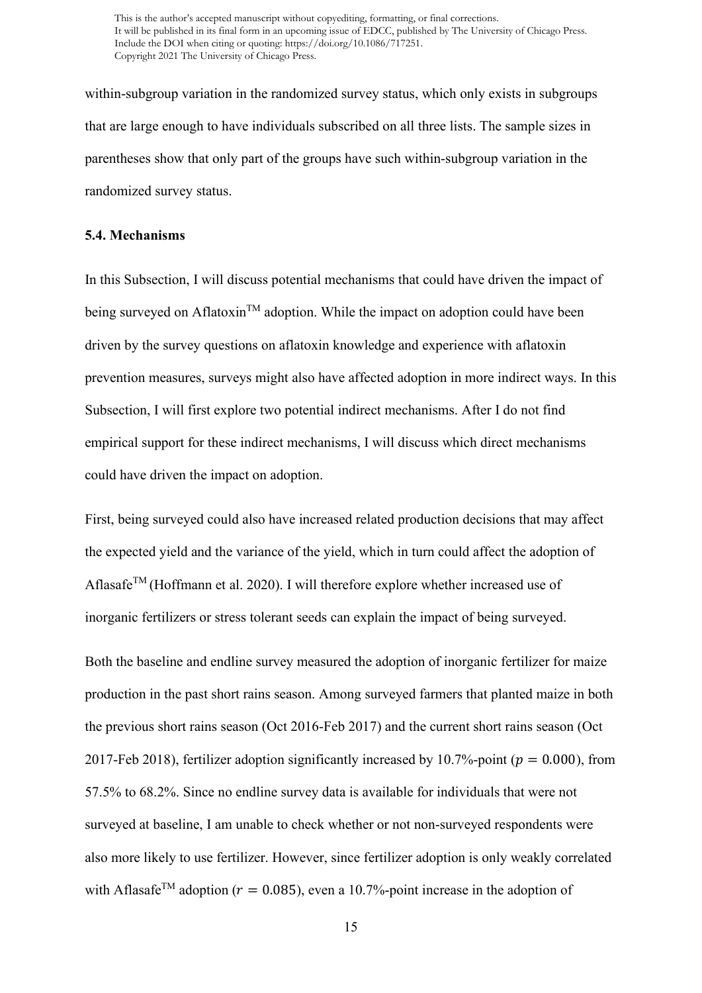within-subgroup variation in the randomized survey status, which only exists in subgroups that are large enough to have individuals subscribed on all three lists. The sample sizes in parentheses show that only part of the groups have such within-subgroup variation in the randomized survey status.

#### **5.4. Mechanisms**

In this Subsection, I will discuss potential mechanisms that could have driven the impact of being surveyed on Aflatoxin<sup>TM</sup> adoption. While the impact on adoption could have been driven by the survey questions on aflatoxin knowledge and experience with aflatoxin prevention measures, surveys might also have affected adoption in more indirect ways. In this Subsection, I will first explore two potential indirect mechanisms. After I do not find empirical support for these indirect mechanisms, I will discuss which direct mechanisms could have driven the impact on adoption.

First, being surveyed could also have increased related production decisions that may affect the expected yield and the variance of the yield, which in turn could affect the adoption of Aflasafe<sup>TM</sup> (Hoffmann et al. 2020). I will therefore explore whether increased use of inorganic fertilizers or stress tolerant seeds can explain the impact of being surveyed.

Both the baseline and endline survey measured the adoption of inorganic fertilizer for maize production in the past short rains season. Among surveyed farmers that planted maize in both the previous short rains season (Oct 2016-Feb 2017) and the current short rains season (Oct 2017-Feb 2018), fertilizer adoption significantly increased by 10.7%-point ( $p = 0.000$ ), from 57.5% to 68.2%. Since no endline survey data is available for individuals that were not surveyed at baseline, I am unable to check whether or not non-surveyed respondents were also more likely to use fertilizer. However, since fertilizer adoption is only weakly correlated with Aflasafe<sup>TM</sup> adoption ( $r = 0.085$ ), even a 10.7%-point increase in the adoption of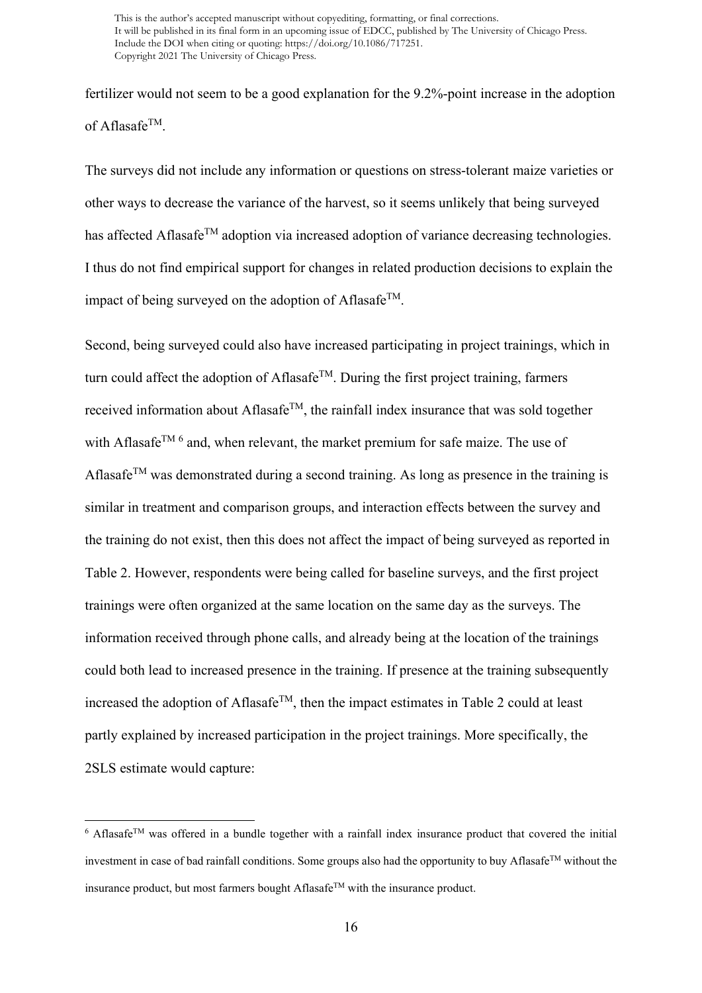fertilizer would not seem to be a good explanation for the 9.2%-point increase in the adoption of Aflasafe<sup>TM</sup>.

The surveys did not include any information or questions on stress-tolerant maize varieties or other ways to decrease the variance of the harvest, so it seems unlikely that being surveyed has affected Aflasafe<sup>TM</sup> adoption via increased adoption of variance decreasing technologies. I thus do not find empirical support for changes in related production decisions to explain the impact of being surveyed on the adoption of Aflasafe<sup>TM</sup>.

Second, being surveyed could also have increased participating in project trainings, which in turn could affect the adoption of Aflasafe<sup>TM</sup>. During the first project training, farmers received information about Aflasafe<sup>TM</sup>, the rainfall index insurance that was sold together with Aflasafe<sup>TM [6](#page-16-0)</sup> and, when relevant, the market premium for safe maize. The use of Aflasafe<sup>TM</sup> was demonstrated during a second training. As long as presence in the training is similar in treatment and comparison groups, and interaction effects between the survey and the training do not exist, then this does not affect the impact of being surveyed as reported in Table 2. However, respondents were being called for baseline surveys, and the first project trainings were often organized at the same location on the same day as the surveys. The information received through phone calls, and already being at the location of the trainings could both lead to increased presence in the training. If presence at the training subsequently increased the adoption of Aflasafe<sup>TM</sup>, then the impact estimates in Table 2 could at least partly explained by increased participation in the project trainings. More specifically, the 2SLS estimate would capture:

<span id="page-16-0"></span> $6$  Aflasafe<sup>TM</sup> was offered in a bundle together with a rainfall index insurance product that covered the initial investment in case of bad rainfall conditions. Some groups also had the opportunity to buy Aflasafe<sup>TM</sup> without the insurance product, but most farmers bought Aflasafe<sup>TM</sup> with the insurance product.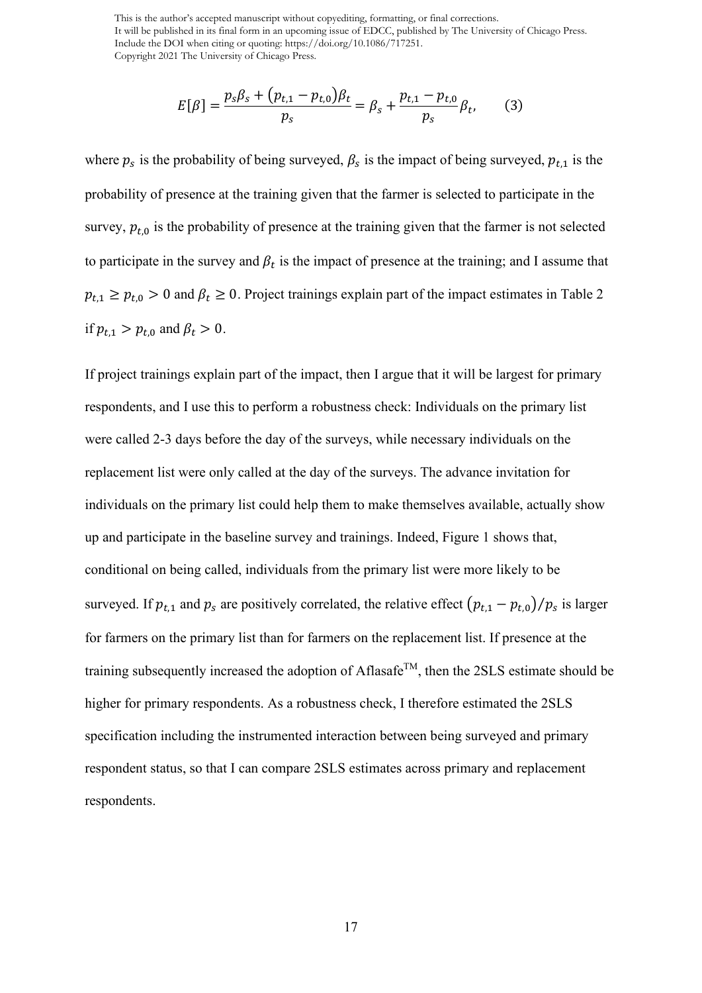$$
E[\beta] = \frac{p_s \beta_s + (p_{t,1} - p_{t,0}) \beta_t}{p_s} = \beta_s + \frac{p_{t,1} - p_{t,0}}{p_s} \beta_t, \qquad (3)
$$

where  $p_s$  is the probability of being surveyed,  $\beta_s$  is the impact of being surveyed,  $p_{t,1}$  is the probability of presence at the training given that the farmer is selected to participate in the survey,  $p_{t,0}$  is the probability of presence at the training given that the farmer is not selected to participate in the survey and  $\beta_t$  is the impact of presence at the training; and I assume that  $p_{t,1} \ge p_{t,0} > 0$  and  $\beta_t \ge 0$ . Project trainings explain part of the impact estimates in Table 2 if  $p_{t,1} > p_{t,0}$  and  $\beta_t > 0$ .

If project trainings explain part of the impact, then I argue that it will be largest for primary respondents, and I use this to perform a robustness check: Individuals on the primary list were called 2-3 days before the day of the surveys, while necessary individuals on the replacement list were only called at the day of the surveys. The advance invitation for individuals on the primary list could help them to make themselves available, actually show up and participate in the baseline survey and trainings. Indeed, Figure 1 shows that, conditional on being called, individuals from the primary list were more likely to be surveyed. If  $p_{t,1}$  and  $p_s$  are positively correlated, the relative effect  $\left(p_{t,1} - p_{t,0}\right) / p_s$  is larger for farmers on the primary list than for farmers on the replacement list. If presence at the training subsequently increased the adoption of Aflasafe<sup>TM</sup>, then the 2SLS estimate should be higher for primary respondents. As a robustness check, I therefore estimated the 2SLS specification including the instrumented interaction between being surveyed and primary respondent status, so that I can compare 2SLS estimates across primary and replacement respondents.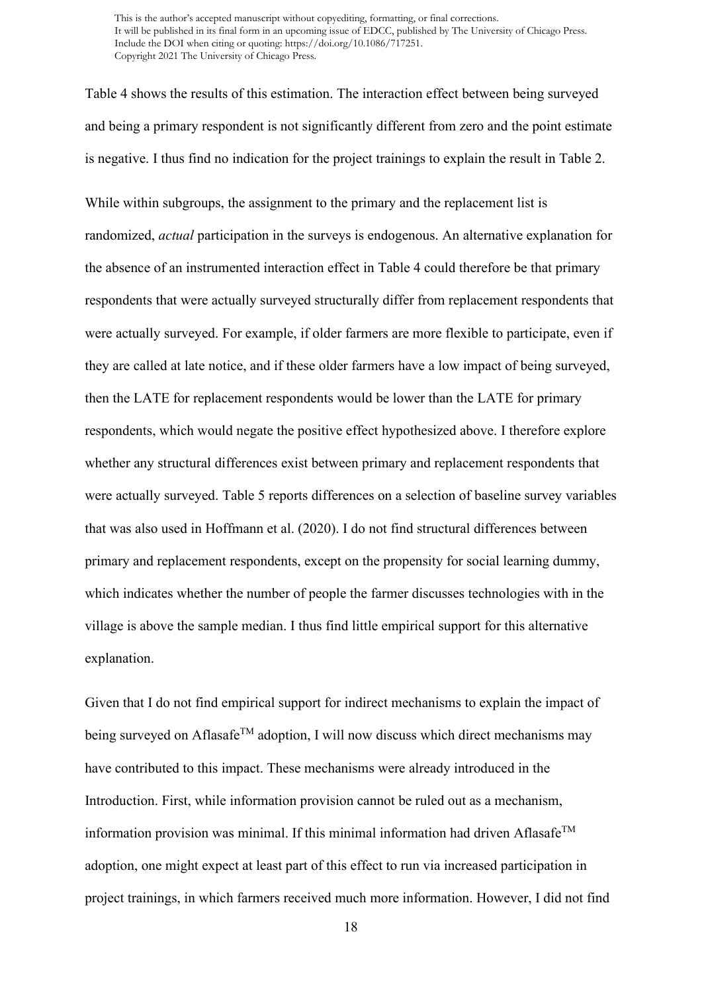Table 4 shows the results of this estimation. The interaction effect between being surveyed and being a primary respondent is not significantly different from zero and the point estimate is negative. I thus find no indication for the project trainings to explain the result in Table 2.

While within subgroups, the assignment to the primary and the replacement list is randomized, *actual* participation in the surveys is endogenous. An alternative explanation for the absence of an instrumented interaction effect in Table 4 could therefore be that primary respondents that were actually surveyed structurally differ from replacement respondents that were actually surveyed. For example, if older farmers are more flexible to participate, even if they are called at late notice, and if these older farmers have a low impact of being surveyed, then the LATE for replacement respondents would be lower than the LATE for primary respondents, which would negate the positive effect hypothesized above. I therefore explore whether any structural differences exist between primary and replacement respondents that were actually surveyed. Table 5 reports differences on a selection of baseline survey variables that was also used in Hoffmann et al. (2020). I do not find structural differences between primary and replacement respondents, except on the propensity for social learning dummy, which indicates whether the number of people the farmer discusses technologies with in the village is above the sample median. I thus find little empirical support for this alternative explanation.

Given that I do not find empirical support for indirect mechanisms to explain the impact of being surveyed on Aflasafe<sup>TM</sup> adoption, I will now discuss which direct mechanisms may have contributed to this impact. These mechanisms were already introduced in the Introduction. First, while information provision cannot be ruled out as a mechanism, information provision was minimal. If this minimal information had driven Aflasafe<sup>TM</sup> adoption, one might expect at least part of this effect to run via increased participation in project trainings, in which farmers received much more information. However, I did not find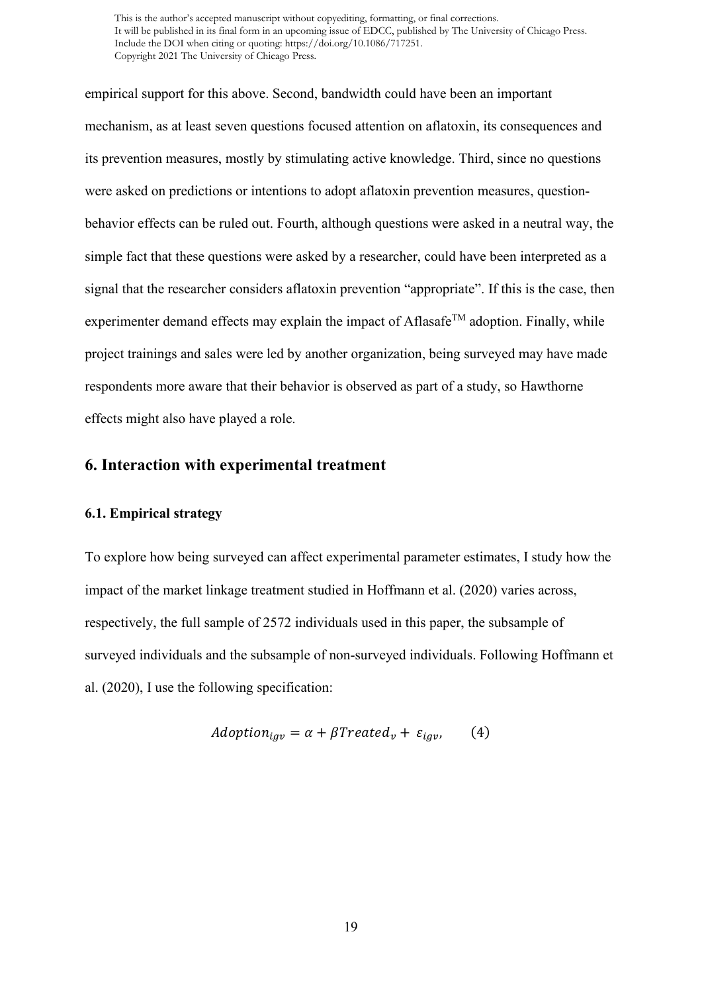empirical support for this above. Second, bandwidth could have been an important mechanism, as at least seven questions focused attention on aflatoxin, its consequences and its prevention measures, mostly by stimulating active knowledge. Third, since no questions were asked on predictions or intentions to adopt aflatoxin prevention measures, questionbehavior effects can be ruled out. Fourth, although questions were asked in a neutral way, the simple fact that these questions were asked by a researcher, could have been interpreted as a signal that the researcher considers aflatoxin prevention "appropriate". If this is the case, then experimenter demand effects may explain the impact of Aflasafe<sup>TM</sup> adoption. Finally, while project trainings and sales were led by another organization, being surveyed may have made respondents more aware that their behavior is observed as part of a study, so Hawthorne effects might also have played a role.

# **6. Interaction with experimental treatment**

#### **6.1. Empirical strategy**

To explore how being surveyed can affect experimental parameter estimates, I study how the impact of the market linkage treatment studied in Hoffmann et al. (2020) varies across, respectively, the full sample of 2572 individuals used in this paper, the subsample of surveyed individuals and the subsample of non-surveyed individuals. Following Hoffmann et al. (2020), I use the following specification:

$$
Adoption_{igv} = \alpha + \beta Treated_v + \varepsilon_{igv}, \qquad (4)
$$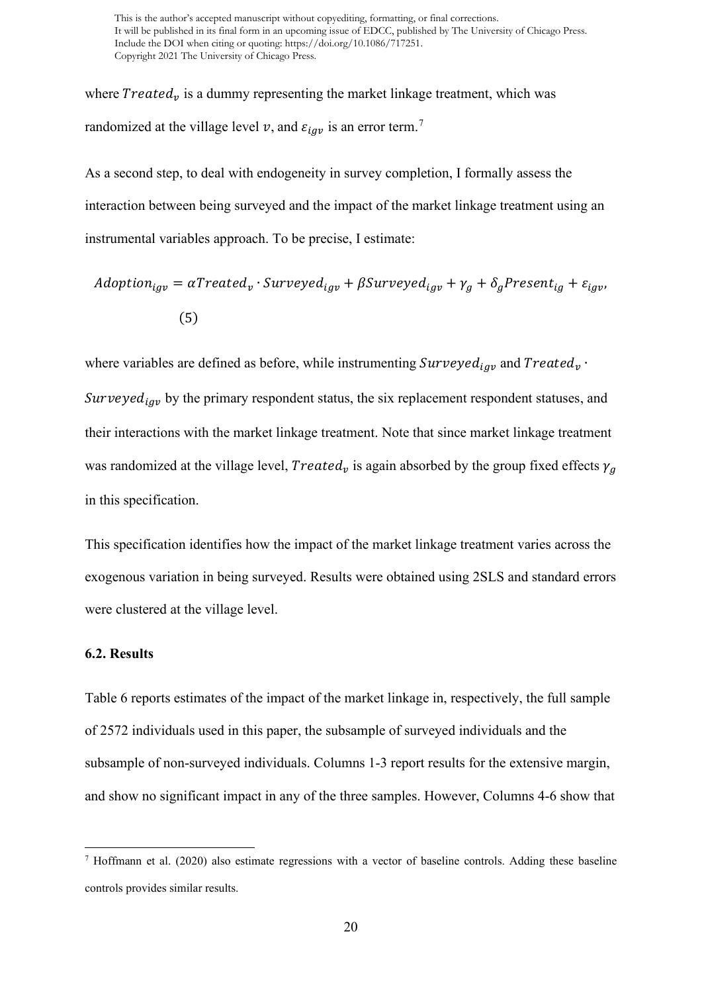where  $Treated<sub>v</sub>$  is a dummy representing the market linkage treatment, which was randomized at the village level v, and  $\varepsilon_{iav}$  is an error term.<sup>[7](#page-20-0)</sup>

As a second step, to deal with endogeneity in survey completion, I formally assess the interaction between being surveyed and the impact of the market linkage treatment using an instrumental variables approach. To be precise, I estimate:

$$
Adoption_{igv} = \alpha{} Treated_v \cdot Surveyed_{igv} + \beta{} Surveyed_{igv} + \gamma_g + \delta_g{} Present_{ig} + \varepsilon_{igv},
$$
\n
$$
\tag{5}
$$

where variables are defined as before, while instrumenting  $\textit{Surveyed}_{\textit{iqv}}$  and  $\textit{Treated}_{v}$ . Surveyed<sub>iav</sub> by the primary respondent status, the six replacement respondent statuses, and their interactions with the market linkage treatment. Note that since market linkage treatment was randomized at the village level,  $Treated_v$  is again absorbed by the group fixed effects  $\gamma_a$ in this specification.

This specification identifies how the impact of the market linkage treatment varies across the exogenous variation in being surveyed. Results were obtained using 2SLS and standard errors were clustered at the village level.

#### **6.2. Results**

Table 6 reports estimates of the impact of the market linkage in, respectively, the full sample of 2572 individuals used in this paper, the subsample of surveyed individuals and the subsample of non-surveyed individuals. Columns 1-3 report results for the extensive margin, and show no significant impact in any of the three samples. However, Columns 4-6 show that

<span id="page-20-0"></span><sup>7</sup> Hoffmann et al. (2020) also estimate regressions with a vector of baseline controls. Adding these baseline controls provides similar results.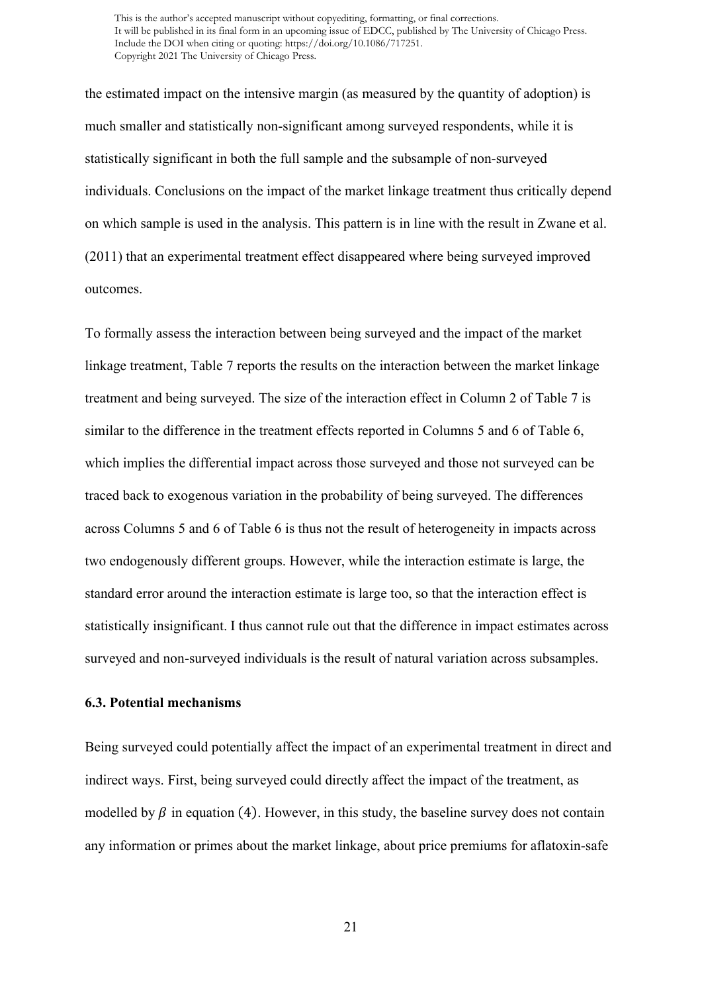the estimated impact on the intensive margin (as measured by the quantity of adoption) is much smaller and statistically non-significant among surveyed respondents, while it is statistically significant in both the full sample and the subsample of non-surveyed individuals. Conclusions on the impact of the market linkage treatment thus critically depend on which sample is used in the analysis. This pattern is in line with the result in Zwane et al. (2011) that an experimental treatment effect disappeared where being surveyed improved outcomes.

To formally assess the interaction between being surveyed and the impact of the market linkage treatment, Table 7 reports the results on the interaction between the market linkage treatment and being surveyed. The size of the interaction effect in Column 2 of Table 7 is similar to the difference in the treatment effects reported in Columns 5 and 6 of Table 6, which implies the differential impact across those surveyed and those not surveyed can be traced back to exogenous variation in the probability of being surveyed. The differences across Columns 5 and 6 of Table 6 is thus not the result of heterogeneity in impacts across two endogenously different groups. However, while the interaction estimate is large, the standard error around the interaction estimate is large too, so that the interaction effect is statistically insignificant. I thus cannot rule out that the difference in impact estimates across surveyed and non-surveyed individuals is the result of natural variation across subsamples.

# **6.3. Potential mechanisms**

Being surveyed could potentially affect the impact of an experimental treatment in direct and indirect ways. First, being surveyed could directly affect the impact of the treatment, as modelled by  $\beta$  in equation (4). However, in this study, the baseline survey does not contain any information or primes about the market linkage, about price premiums for aflatoxin-safe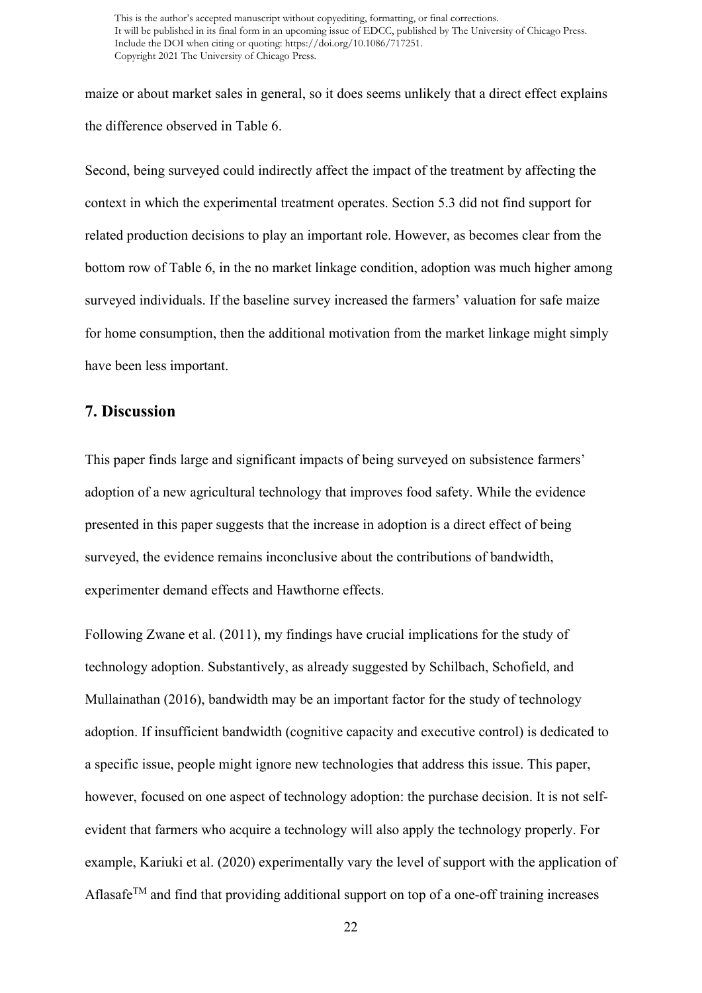maize or about market sales in general, so it does seems unlikely that a direct effect explains the difference observed in Table 6.

Second, being surveyed could indirectly affect the impact of the treatment by affecting the context in which the experimental treatment operates. Section 5.3 did not find support for related production decisions to play an important role. However, as becomes clear from the bottom row of Table 6, in the no market linkage condition, adoption was much higher among surveyed individuals. If the baseline survey increased the farmers' valuation for safe maize for home consumption, then the additional motivation from the market linkage might simply have been less important.

# **7. Discussion**

This paper finds large and significant impacts of being surveyed on subsistence farmers' adoption of a new agricultural technology that improves food safety. While the evidence presented in this paper suggests that the increase in adoption is a direct effect of being surveyed, the evidence remains inconclusive about the contributions of bandwidth, experimenter demand effects and Hawthorne effects.

Following Zwane et al. (2011), my findings have crucial implications for the study of technology adoption. Substantively, as already suggested by Schilbach, Schofield, and Mullainathan (2016), bandwidth may be an important factor for the study of technology adoption. If insufficient bandwidth (cognitive capacity and executive control) is dedicated to a specific issue, people might ignore new technologies that address this issue. This paper, however, focused on one aspect of technology adoption: the purchase decision. It is not selfevident that farmers who acquire a technology will also apply the technology properly. For example, Kariuki et al. (2020) experimentally vary the level of support with the application of Aflasafe<sup>TM</sup> and find that providing additional support on top of a one-off training increases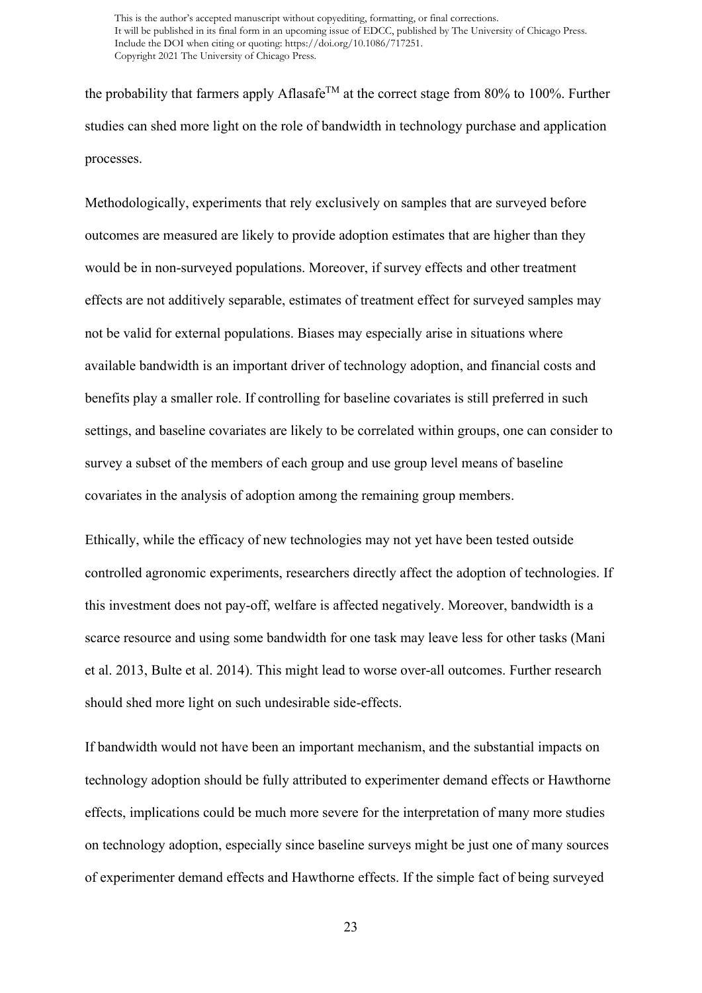the probability that farmers apply Aflasafe<sup>TM</sup> at the correct stage from 80% to 100%. Further studies can shed more light on the role of bandwidth in technology purchase and application processes.

Methodologically, experiments that rely exclusively on samples that are surveyed before outcomes are measured are likely to provide adoption estimates that are higher than they would be in non-surveyed populations. Moreover, if survey effects and other treatment effects are not additively separable, estimates of treatment effect for surveyed samples may not be valid for external populations. Biases may especially arise in situations where available bandwidth is an important driver of technology adoption, and financial costs and benefits play a smaller role. If controlling for baseline covariates is still preferred in such settings, and baseline covariates are likely to be correlated within groups, one can consider to survey a subset of the members of each group and use group level means of baseline covariates in the analysis of adoption among the remaining group members.

Ethically, while the efficacy of new technologies may not yet have been tested outside controlled agronomic experiments, researchers directly affect the adoption of technologies. If this investment does not pay-off, welfare is affected negatively. Moreover, bandwidth is a scarce resource and using some bandwidth for one task may leave less for other tasks (Mani et al. 2013, Bulte et al. 2014). This might lead to worse over-all outcomes. Further research should shed more light on such undesirable side-effects.

If bandwidth would not have been an important mechanism, and the substantial impacts on technology adoption should be fully attributed to experimenter demand effects or Hawthorne effects, implications could be much more severe for the interpretation of many more studies on technology adoption, especially since baseline surveys might be just one of many sources of experimenter demand effects and Hawthorne effects. If the simple fact of being surveyed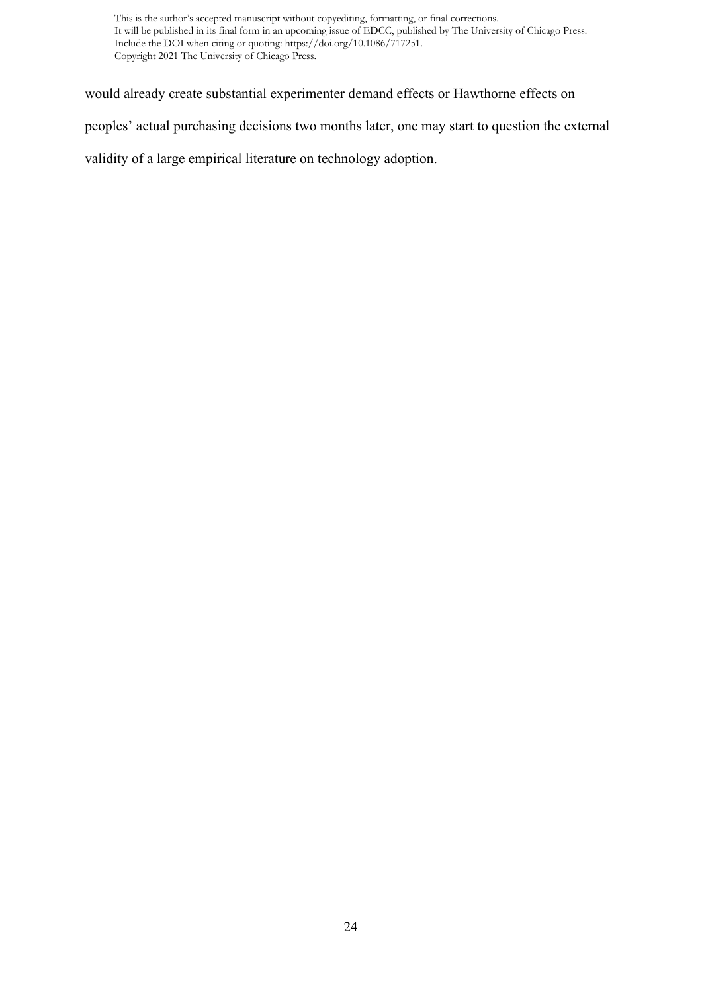would already create substantial experimenter demand effects or Hawthorne effects on

peoples' actual purchasing decisions two months later, one may start to question the external

validity of a large empirical literature on technology adoption.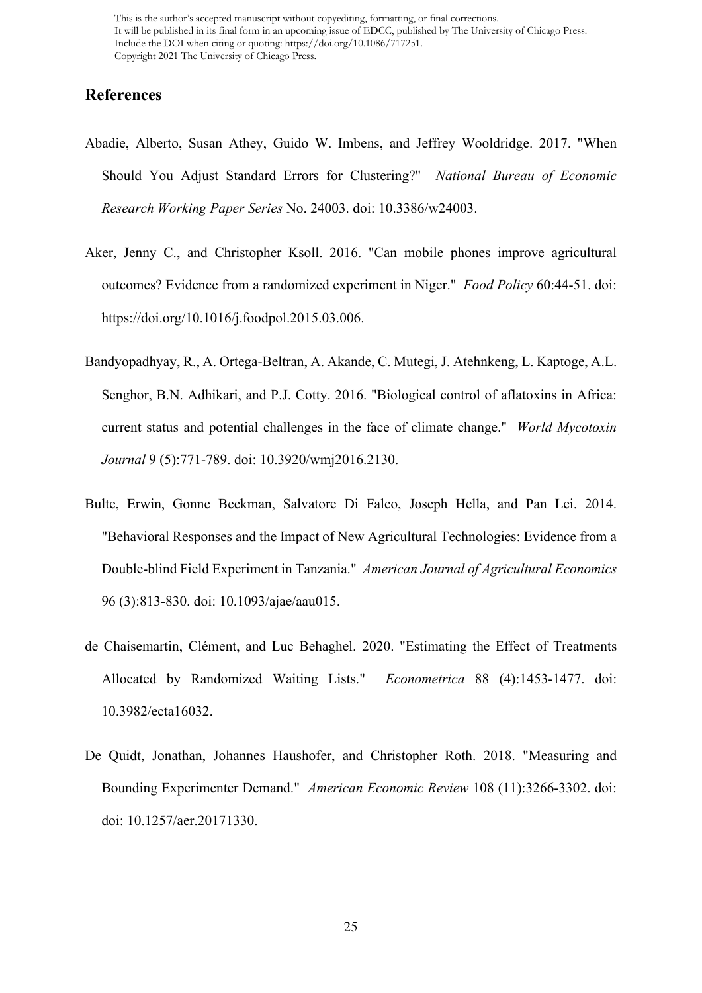# **References**

- Abadie, Alberto, Susan Athey, Guido W. Imbens, and Jeffrey Wooldridge. 2017. "When Should You Adjust Standard Errors for Clustering?" *National Bureau of Economic Research Working Paper Series* No. 24003. doi: 10.3386/w24003.
- Aker, Jenny C., and Christopher Ksoll. 2016. "Can mobile phones improve agricultural outcomes? Evidence from a randomized experiment in Niger." *Food Policy* 60:44-51. doi: [https://doi.org/10.1016/j.foodpol.2015.03.006.](https://doi.org/10.1016/j.foodpol.2015.03.006)
- Bandyopadhyay, R., A. Ortega-Beltran, A. Akande, C. Mutegi, J. Atehnkeng, L. Kaptoge, A.L. Senghor, B.N. Adhikari, and P.J. Cotty. 2016. "Biological control of aflatoxins in Africa: current status and potential challenges in the face of climate change." *World Mycotoxin Journal* 9 (5):771-789. doi: 10.3920/wmj2016.2130.
- Bulte, Erwin, Gonne Beekman, Salvatore Di Falco, Joseph Hella, and Pan Lei. 2014. "Behavioral Responses and the Impact of New Agricultural Technologies: Evidence from a Double-blind Field Experiment in Tanzania." *American Journal of Agricultural Economics* 96 (3):813-830. doi: 10.1093/ajae/aau015.
- de Chaisemartin, Clément, and Luc Behaghel. 2020. "Estimating the Effect of Treatments Allocated by Randomized Waiting Lists." *Econometrica* 88 (4):1453-1477. doi: 10.3982/ecta16032.
- De Quidt, Jonathan, Johannes Haushofer, and Christopher Roth. 2018. "Measuring and Bounding Experimenter Demand." *American Economic Review* 108 (11):3266-3302. doi: doi: 10.1257/aer.20171330.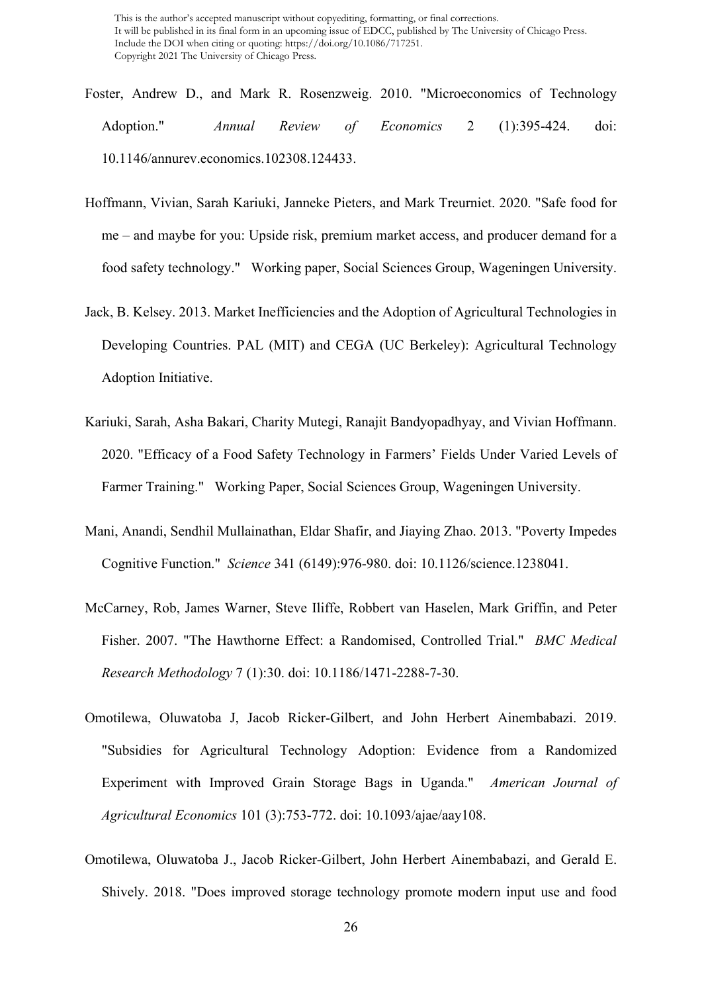- Foster, Andrew D., and Mark R. Rosenzweig. 2010. "Microeconomics of Technology Adoption." *Annual Review of Economics* 2 (1):395-424. doi: 10.1146/annurev.economics.102308.124433.
- Hoffmann, Vivian, Sarah Kariuki, Janneke Pieters, and Mark Treurniet. 2020. "Safe food for me – and maybe for you: Upside risk, premium market access, and producer demand for a food safety technology." Working paper, Social Sciences Group, Wageningen University.
- Jack, B. Kelsey. 2013. Market Inefficiencies and the Adoption of Agricultural Technologies in Developing Countries. PAL (MIT) and CEGA (UC Berkeley): Agricultural Technology Adoption Initiative.
- Kariuki, Sarah, Asha Bakari, Charity Mutegi, Ranajit Bandyopadhyay, and Vivian Hoffmann. 2020. "Efficacy of a Food Safety Technology in Farmers' Fields Under Varied Levels of Farmer Training." Working Paper, Social Sciences Group, Wageningen University.
- Mani, Anandi, Sendhil Mullainathan, Eldar Shafir, and Jiaying Zhao. 2013. "Poverty Impedes Cognitive Function." *Science* 341 (6149):976-980. doi: 10.1126/science.1238041.
- McCarney, Rob, James Warner, Steve Iliffe, Robbert van Haselen, Mark Griffin, and Peter Fisher. 2007. "The Hawthorne Effect: a Randomised, Controlled Trial." *BMC Medical Research Methodology* 7 (1):30. doi: 10.1186/1471-2288-7-30.
- Omotilewa, Oluwatoba J, Jacob Ricker-Gilbert, and John Herbert Ainembabazi. 2019. "Subsidies for Agricultural Technology Adoption: Evidence from a Randomized Experiment with Improved Grain Storage Bags in Uganda." *American Journal of Agricultural Economics* 101 (3):753-772. doi: 10.1093/ajae/aay108.
- Omotilewa, Oluwatoba J., Jacob Ricker-Gilbert, John Herbert Ainembabazi, and Gerald E. Shively. 2018. "Does improved storage technology promote modern input use and food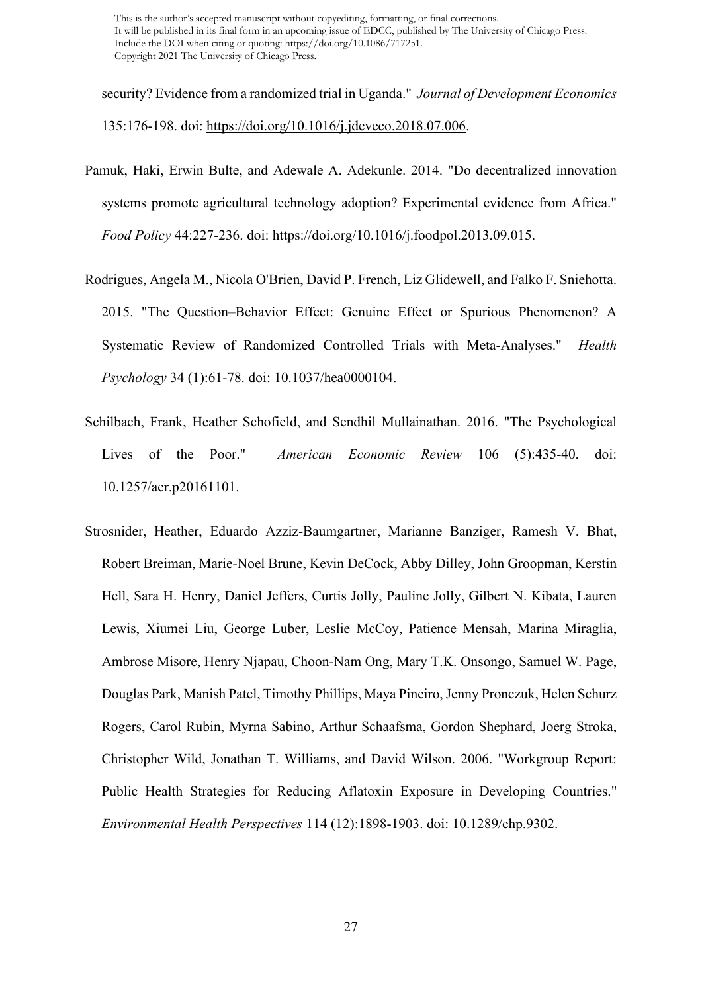security? Evidence from a randomized trial in Uganda." *Journal of Development Economics* 135:176-198. doi: [https://doi.org/10.1016/j.jdeveco.2018.07.006.](https://doi.org/10.1016/j.jdeveco.2018.07.006)

- Pamuk, Haki, Erwin Bulte, and Adewale A. Adekunle. 2014. "Do decentralized innovation systems promote agricultural technology adoption? Experimental evidence from Africa." *Food Policy* 44:227-236. doi: [https://doi.org/10.1016/j.foodpol.2013.09.015.](https://doi.org/10.1016/j.foodpol.2013.09.015)
- Rodrigues, Angela M., Nicola O'Brien, David P. French, Liz Glidewell, and Falko F. Sniehotta. 2015. "The Question–Behavior Effect: Genuine Effect or Spurious Phenomenon? A Systematic Review of Randomized Controlled Trials with Meta-Analyses." *Health Psychology* 34 (1):61-78. doi: 10.1037/hea0000104.
- Schilbach, Frank, Heather Schofield, and Sendhil Mullainathan. 2016. "The Psychological Lives of the Poor." *American Economic Review* 106 (5):435-40. doi: 10.1257/aer.p20161101.
- Strosnider, Heather, Eduardo Azziz-Baumgartner, Marianne Banziger, Ramesh V. Bhat, Robert Breiman, Marie-Noel Brune, Kevin DeCock, Abby Dilley, John Groopman, Kerstin Hell, Sara H. Henry, Daniel Jeffers, Curtis Jolly, Pauline Jolly, Gilbert N. Kibata, Lauren Lewis, Xiumei Liu, George Luber, Leslie McCoy, Patience Mensah, Marina Miraglia, Ambrose Misore, Henry Njapau, Choon-Nam Ong, Mary T.K. Onsongo, Samuel W. Page, Douglas Park, Manish Patel, Timothy Phillips, Maya Pineiro, Jenny Pronczuk, Helen Schurz Rogers, Carol Rubin, Myrna Sabino, Arthur Schaafsma, Gordon Shephard, Joerg Stroka, Christopher Wild, Jonathan T. Williams, and David Wilson. 2006. "Workgroup Report: Public Health Strategies for Reducing Aflatoxin Exposure in Developing Countries." *Environmental Health Perspectives* 114 (12):1898-1903. doi: 10.1289/ehp.9302.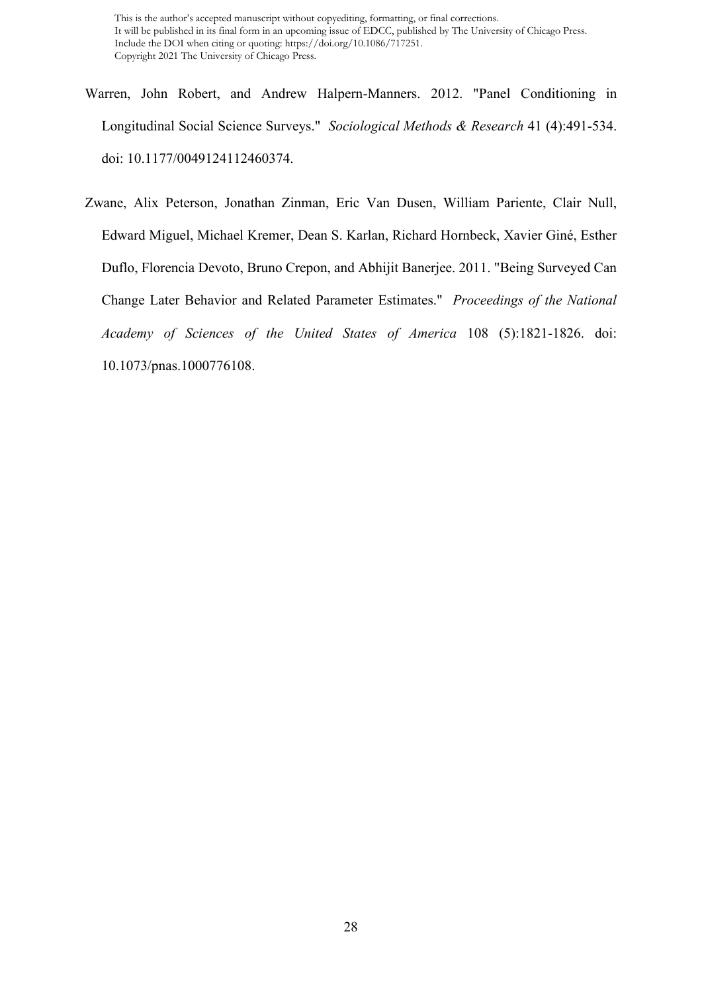- Warren, John Robert, and Andrew Halpern-Manners. 2012. "Panel Conditioning in Longitudinal Social Science Surveys." *Sociological Methods & Research* 41 (4):491-534. doi: 10.1177/0049124112460374.
- Zwane, Alix Peterson, Jonathan Zinman, Eric Van Dusen, William Pariente, Clair Null, Edward Miguel, Michael Kremer, Dean S. Karlan, Richard Hornbeck, Xavier Giné, Esther Duflo, Florencia Devoto, Bruno Crepon, and Abhijit Banerjee. 2011. "Being Surveyed Can Change Later Behavior and Related Parameter Estimates." *Proceedings of the National Academy of Sciences of the United States of America* 108 (5):1821-1826. doi: 10.1073/pnas.1000776108.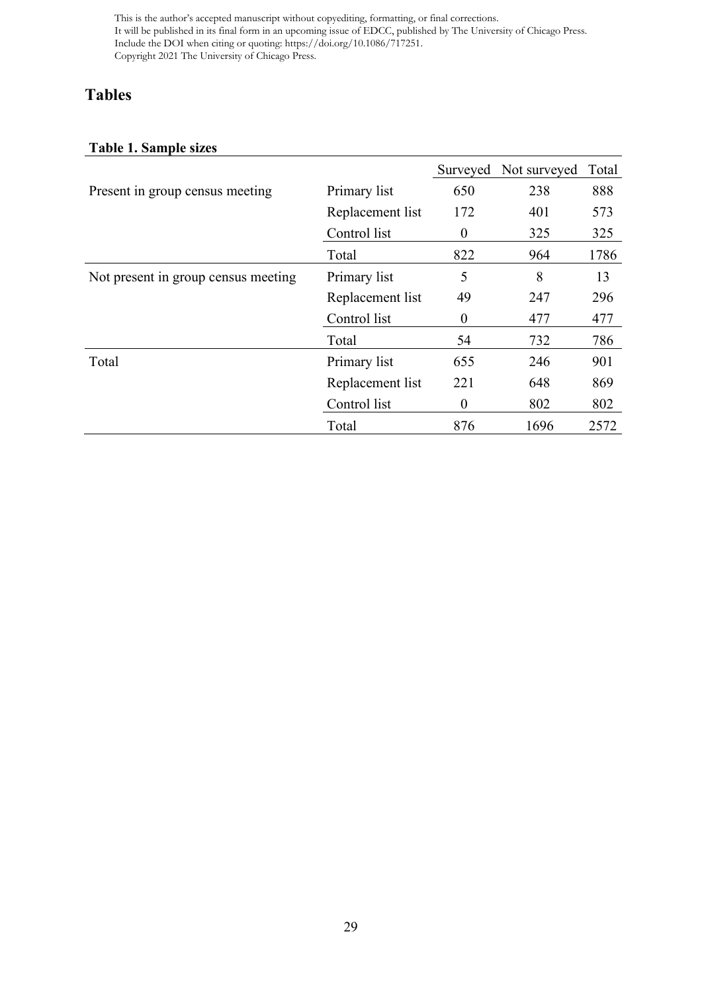# **Tables**

# **Table 1. Sample sizes**

|                                     |                  |                  | Surveyed Not surveyed | Total |
|-------------------------------------|------------------|------------------|-----------------------|-------|
| Present in group census meeting     | Primary list     | 650              | 238                   | 888   |
|                                     | Replacement list | 172              | 401                   | 573   |
|                                     | Control list     | $\boldsymbol{0}$ | 325                   | 325   |
|                                     | Total            | 822              | 964                   | 1786  |
| Not present in group census meeting | Primary list     | 5                | 8                     | 13    |
|                                     | Replacement list | 49               | 247                   | 296   |
|                                     | Control list     | $\boldsymbol{0}$ | 477                   | 477   |
|                                     | Total            | 54               | 732                   | 786   |
| Total                               | Primary list     | 655              | 246                   | 901   |
|                                     | Replacement list | 221              | 648                   | 869   |
|                                     | Control list     | $\boldsymbol{0}$ | 802                   | 802   |
|                                     | Total            | 876              | 1696                  | 2572  |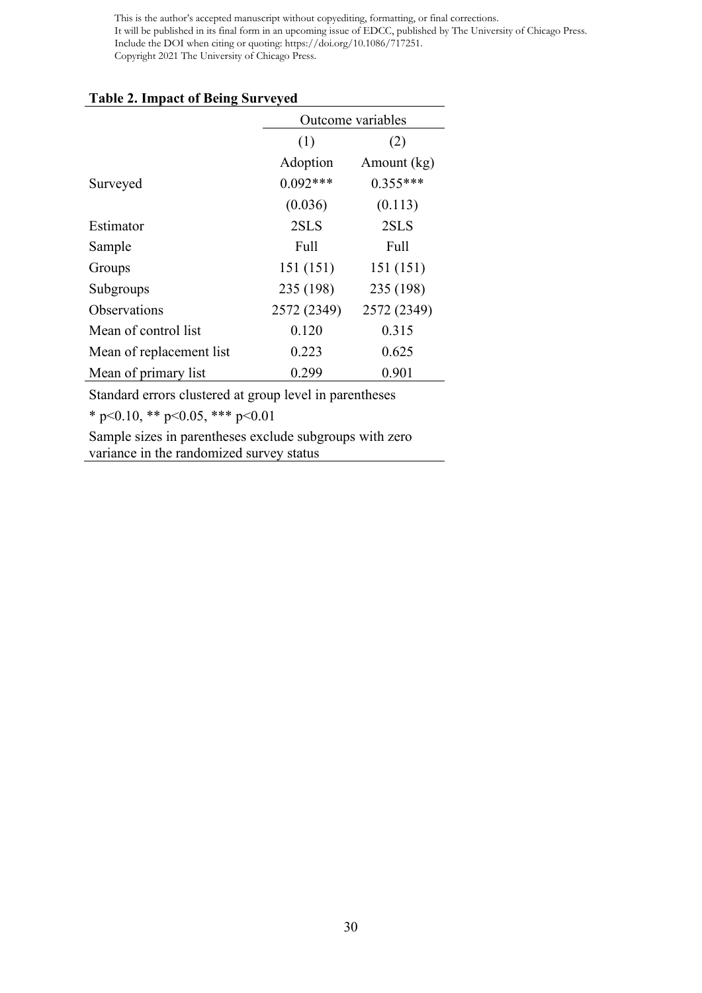#### **Table 2. Impact of Being Surveyed**

|                          | Outcome variables |             |  |  |
|--------------------------|-------------------|-------------|--|--|
|                          | (1)<br>(2)        |             |  |  |
|                          | Adoption          | Amount (kg) |  |  |
| Surveyed                 | $0.092***$        | $0.355***$  |  |  |
|                          | (0.036)           | (0.113)     |  |  |
| Estimator                | 2SLS              | 2SLS        |  |  |
| Sample                   | Full              | Full        |  |  |
| Groups                   | 151 (151)         | 151(151)    |  |  |
| Subgroups                | 235 (198)         | 235 (198)   |  |  |
| Observations             | 2572 (2349)       | 2572 (2349) |  |  |
| Mean of control list     | 0.120             | 0.315       |  |  |
| Mean of replacement list | 0.223             | 0.625       |  |  |
| Mean of primary list     | 0.299             | 0.901       |  |  |

Standard errors clustered at group level in parentheses

\* p<0.10, \*\* p<0.05, \*\*\* p<0.01

Sample sizes in parentheses exclude subgroups with zero variance in the randomized survey status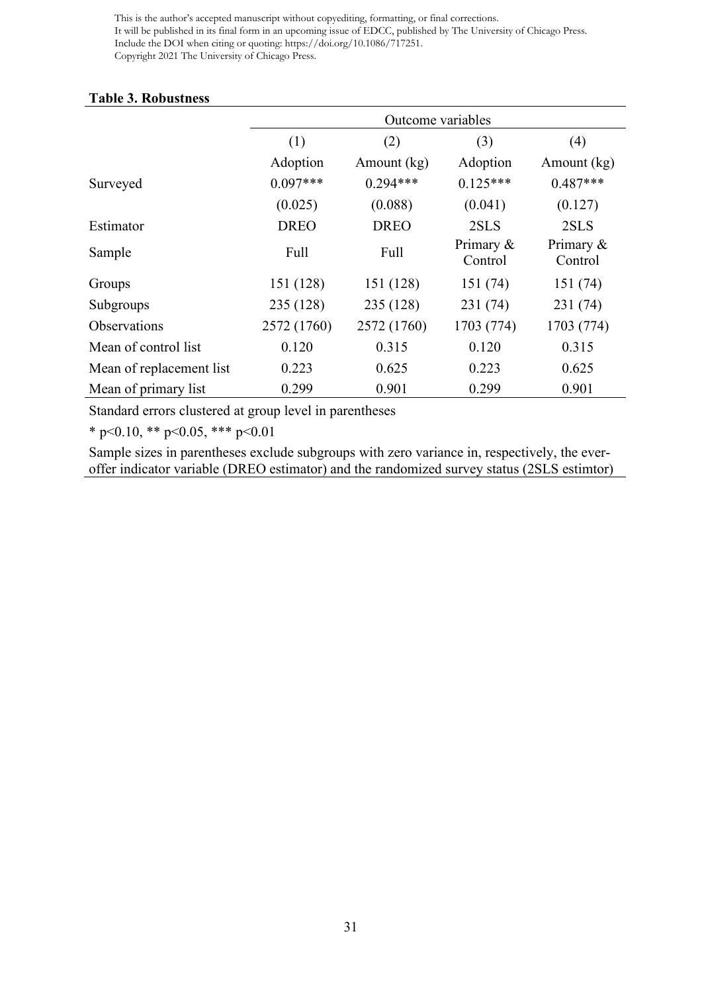### **Table 3. Robustness**

|                          | Outcome variables |             |                      |                      |  |
|--------------------------|-------------------|-------------|----------------------|----------------------|--|
|                          | (1)               | (2)         | (3)                  | (4)                  |  |
|                          | Adoption          | Amount (kg) | Adoption             | Amount (kg)          |  |
| Surveyed                 | $0.097***$        | $0.294***$  | $0.125***$           | $0.487***$           |  |
|                          | (0.025)           | (0.088)     | (0.041)              | (0.127)              |  |
| Estimator                | <b>DREO</b>       | <b>DREO</b> | 2SLS                 | 2SLS                 |  |
| Sample                   | Full              | Full        | Primary &<br>Control | Primary &<br>Control |  |
| Groups                   | 151 (128)         | 151 (128)   | 151 (74)             | 151 (74)             |  |
| Subgroups                | 235 (128)         | 235 (128)   | 231 (74)             | 231 (74)             |  |
| <b>Observations</b>      | 2572 (1760)       | 2572 (1760) | 1703 (774)           | 1703 (774)           |  |
| Mean of control list     | 0.120             | 0.315       | 0.120                | 0.315                |  |
| Mean of replacement list | 0.223             | 0.625       | 0.223                | 0.625                |  |
| Mean of primary list     | 0.299             | 0.901       | 0.299                | 0.901                |  |

Standard errors clustered at group level in parentheses

\* p<0.10, \*\* p<0.05, \*\*\* p<0.01

Sample sizes in parentheses exclude subgroups with zero variance in, respectively, the everoffer indicator variable (DREO estimator) and the randomized survey status (2SLS estimtor)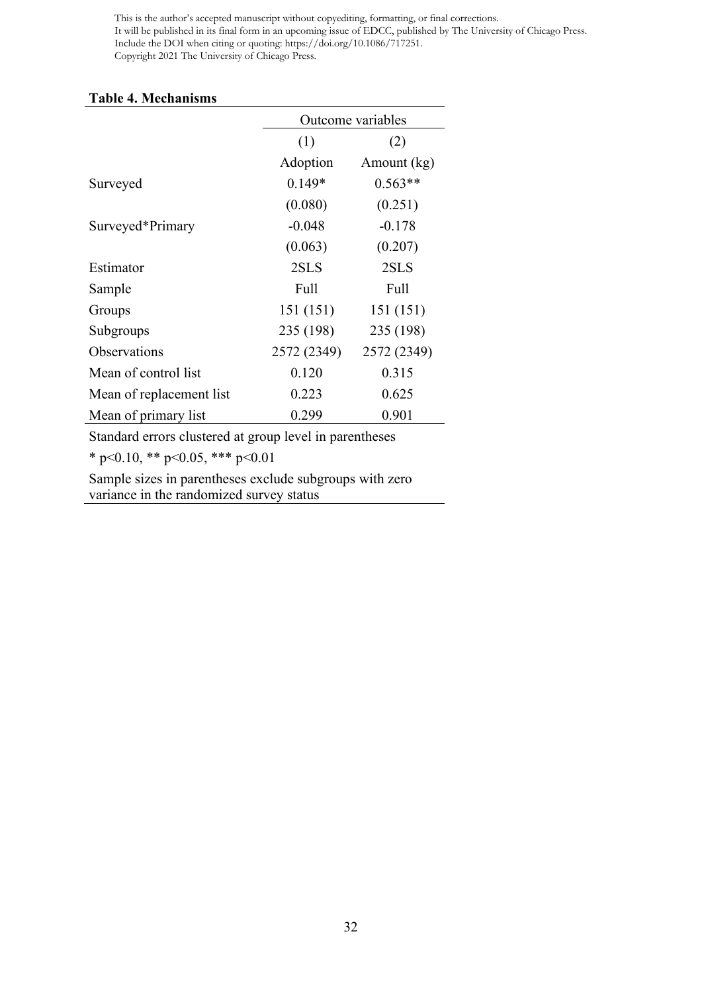#### **Table 4. Mechanisms**

|                          | Outcome variables |             |  |
|--------------------------|-------------------|-------------|--|
|                          | (1)               | (2)         |  |
|                          | Adoption          | Amount (kg) |  |
| Surveyed                 | $0.149*$          | $0.563**$   |  |
|                          | (0.080)           | (0.251)     |  |
| Surveyed*Primary         | $-0.048$          | $-0.178$    |  |
|                          | (0.063)           | (0.207)     |  |
| Estimator                | 2SLS              | 2SLS        |  |
| Sample                   | Full              | Full        |  |
| Groups                   | 151(151)          | 151 (151)   |  |
| Subgroups                | 235 (198)         | 235 (198)   |  |
| Observations             | 2572 (2349)       | 2572 (2349) |  |
| Mean of control list     | 0.120             | 0.315       |  |
| Mean of replacement list | 0.223             | 0.625       |  |
| Mean of primary list     | 0.299             | 0.901       |  |

Standard errors clustered at group level in parentheses

\* p<0.10, \*\* p<0.05, \*\*\* p<0.01

Sample sizes in parentheses exclude subgroups with zero variance in the randomized survey status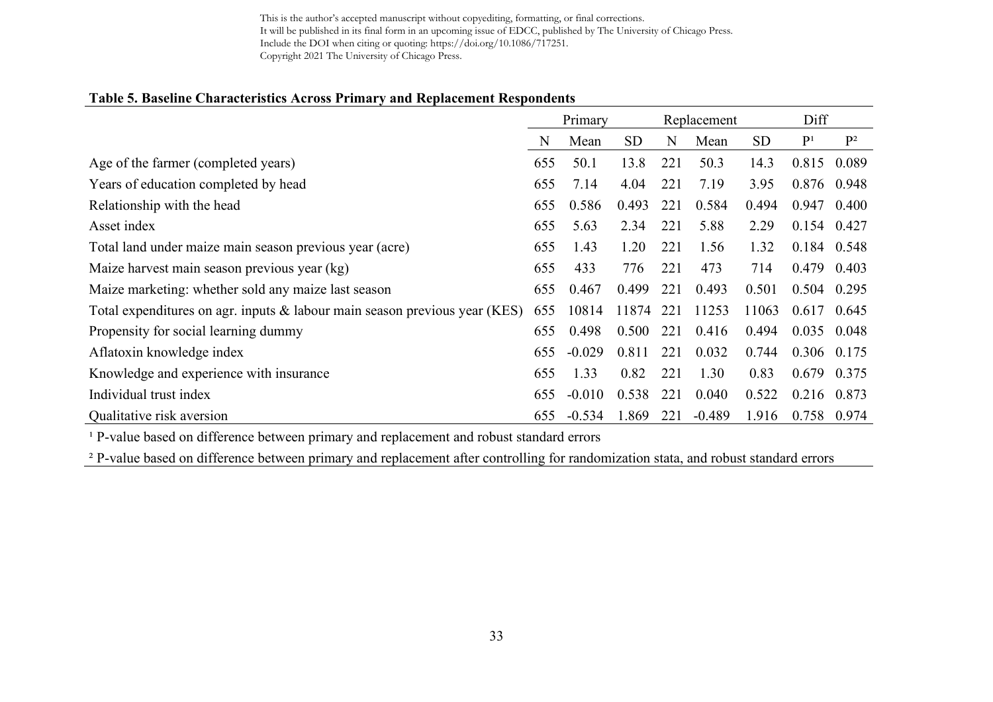#### **Table 5. Baseline Characteristics Across Primary and Replacement Respondents**

|                                                                            | Primary |          | Replacement |     |          | Diff      |                |       |
|----------------------------------------------------------------------------|---------|----------|-------------|-----|----------|-----------|----------------|-------|
|                                                                            | N       | Mean     | <b>SD</b>   | N   | Mean     | <b>SD</b> | P <sup>1</sup> | $P^2$ |
| Age of the farmer (completed years)                                        | 655     | 50.1     | 13.8        | 221 | 50.3     | 14.3      | 0.815          | 0.089 |
| Years of education completed by head                                       | 655     | 7.14     | 4.04        | 221 | 7.19     | 3.95      | 0.876 0.948    |       |
| Relationship with the head                                                 | 655     | 0.586    | 0.493       | 221 | 0.584    | 0.494     | 0.947          | 0.400 |
| Asset index                                                                | 655     | 5.63     | 2.34        | 221 | 5.88     | 2.29      | $0.154$ 0.427  |       |
| Total land under maize main season previous year (acre)                    | 655     | 1.43     | 1.20        | 221 | 1.56     | 1.32      | 0.184 0.548    |       |
| Maize harvest main season previous year (kg)                               | 655     | 433      | 776         | 221 | 473      | 714       | 0.479          | 0.403 |
| Maize marketing: whether sold any maize last season                        | 655     | 0.467    | 0.499       | 221 | 0.493    | 0.501     | 0.504          | 0.295 |
| Total expenditures on agr. inputs & labour main season previous year (KES) | 655     | 10814    | 11874       | 221 | 11253    | 11063     | 0.617          | 0.645 |
| Propensity for social learning dummy                                       | 655     | 0.498    | 0.500       | 221 | 0.416    | 0.494     | 0.035          | 0.048 |
| Aflatoxin knowledge index                                                  | 655     | $-0.029$ | 0.811       | 221 | 0.032    | 0.744     | 0.306 0.175    |       |
| Knowledge and experience with insurance                                    | 655     | 1.33     | 0.82        | 221 | 1.30     | 0.83      | 0.679          | 0.375 |
| Individual trust index                                                     | 655     | $-0.010$ | 0.538       | 221 | 0.040    | 0.522     | 0.216 0.873    |       |
| Qualitative risk aversion                                                  | 655     | $-0.534$ | 1.869       | 221 | $-0.489$ | 1.916     | 0.758          | 0.974 |

<sup>1</sup> P-value based on difference between primary and replacement and robust standard errors

<sup>2</sup> P-value based on difference between primary and replacement after controlling for randomization stata, and robust standard errors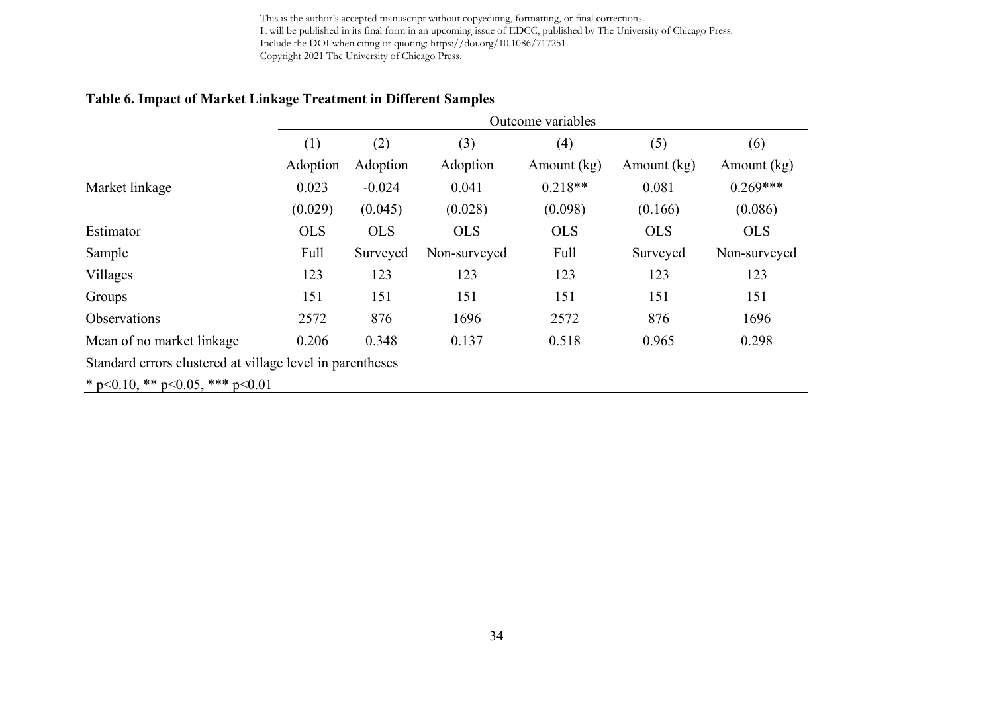# **Table 6. Impact of Market Linkage Treatment in Different Samples**

|                           | Outcome variables |            |              |             |             |              |
|---------------------------|-------------------|------------|--------------|-------------|-------------|--------------|
|                           | (1)               | (2)        | (3)          | (4)         | (5)         | (6)          |
|                           | Adoption          | Adoption   | Adoption     | Amount (kg) | Amount (kg) | Amount (kg)  |
| Market linkage            | 0.023             | $-0.024$   | 0.041        | $0.218**$   | 0.081       | $0.269***$   |
|                           | (0.029)           | (0.045)    | (0.028)      | (0.098)     | (0.166)     | (0.086)      |
| Estimator                 | <b>OLS</b>        | <b>OLS</b> | <b>OLS</b>   | <b>OLS</b>  | <b>OLS</b>  | <b>OLS</b>   |
| Sample                    | Full              | Surveyed   | Non-surveyed | Full        | Surveyed    | Non-surveyed |
| Villages                  | 123               | 123        | 123          | 123         | 123         | 123          |
| Groups                    | 151               | 151        | 151          | 151         | 151         | 151          |
| <b>Observations</b>       | 2572              | 876        | 1696         | 2572        | 876         | 1696         |
| Mean of no market linkage | 0.206             | 0.348      | 0.137        | 0.518       | 0.965       | 0.298        |

Standard errors clustered at village level in parentheses

\* p<0.10, \*\* p<0.05, \*\*\* p<0.01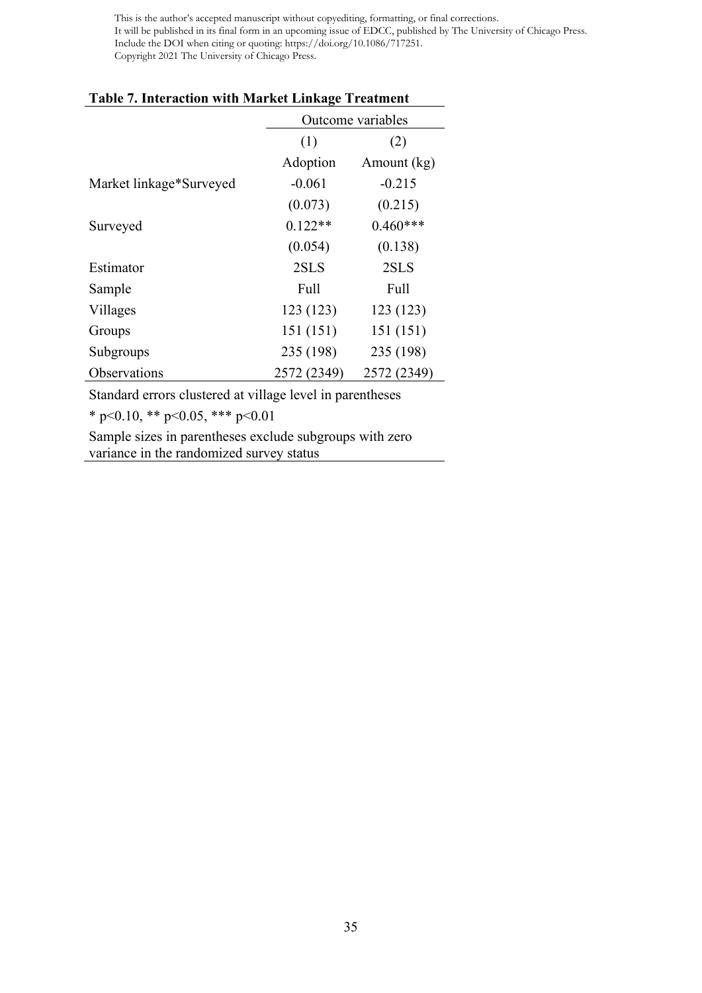|                         | Outcome variables          |             |  |  |
|-------------------------|----------------------------|-------------|--|--|
|                         | (1)<br>(2)                 |             |  |  |
|                         | Adoption                   | Amount (kg) |  |  |
| Market linkage*Surveyed | $-0.061$                   | $-0.215$    |  |  |
|                         | (0.073)                    | (0.215)     |  |  |
| Surveyed                | $0.122**$                  | $0.460***$  |  |  |
|                         | (0.054)                    | (0.138)     |  |  |
| Estimator               | 2SLS                       | 2SLS        |  |  |
| Sample                  | Full                       | Full        |  |  |
| Villages                | 123 (123)                  | 123 (123)   |  |  |
| Groups                  | 151 (151)                  | 151 (151)   |  |  |
| Subgroups               | 235 (198)                  | 235 (198)   |  |  |
| Observations            | 2572 (2349)<br>2572 (2349) |             |  |  |

### **Table 7. Interaction with Market Linkage Treatment**

Standard errors clustered at village level in parentheses

\* p<0.10, \*\* p<0.05, \*\*\* p<0.01

Sample sizes in parentheses exclude subgroups with zero variance in the randomized survey status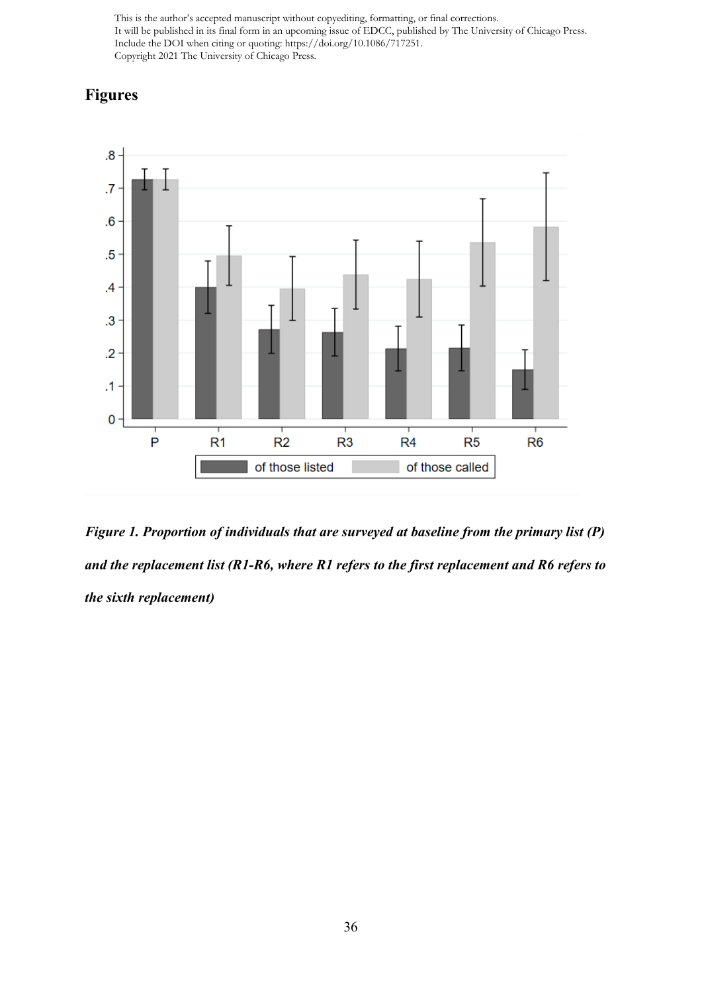# **Figures**



*Figure 1. Proportion of individuals that are surveyed at baseline from the primary list (P) and the replacement list (R1-R6, where R1 refers to the first replacement and R6 refers to the sixth replacement)*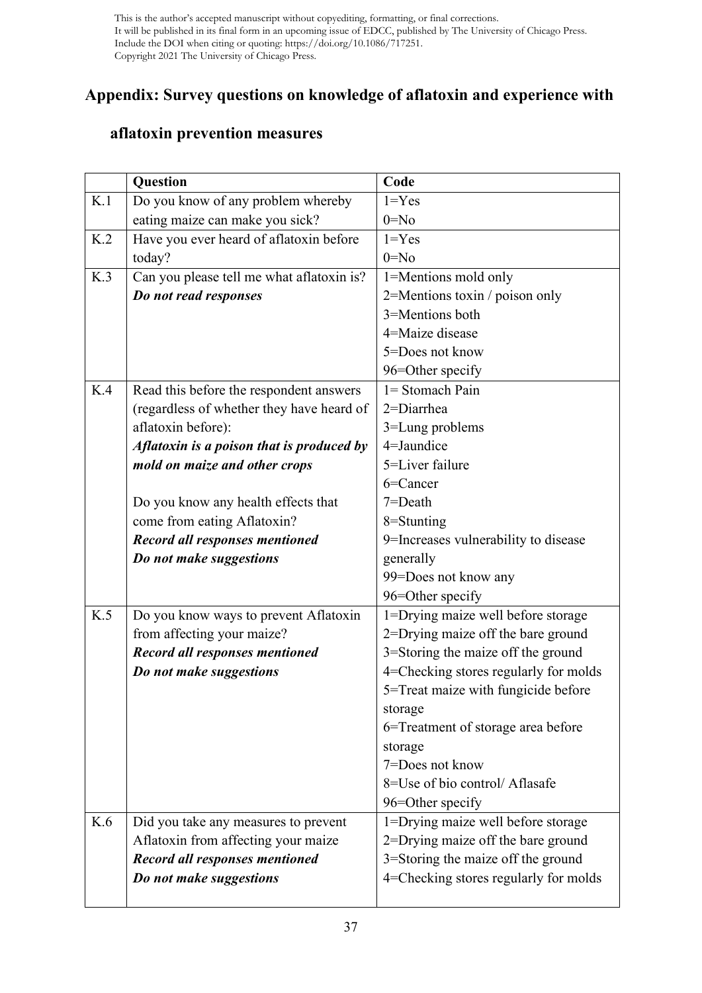# **Appendix: Survey questions on knowledge of aflatoxin and experience with**

# **aflatoxin prevention measures**

|     | Question                                  | Code                                  |
|-----|-------------------------------------------|---------------------------------------|
| K.1 | Do you know of any problem whereby        | $1 = Yes$                             |
|     | eating maize can make you sick?           | $0 = No$                              |
| K.2 | Have you ever heard of aflatoxin before   | $1 = Yes$                             |
|     | today?                                    | $0 = No$                              |
| K.3 | Can you please tell me what aflatoxin is? | 1=Mentions mold only                  |
|     | Do not read responses                     | 2=Mentions toxin / poison only        |
|     |                                           | 3=Mentions both                       |
|     |                                           | 4=Maize disease                       |
|     |                                           | 5=Does not know                       |
|     |                                           | 96=Other specify                      |
| K.4 | Read this before the respondent answers   | $1 =$ Stomach Pain                    |
|     | (regardless of whether they have heard of | $2 =$ Diarrhea                        |
|     | aflatoxin before):                        | 3=Lung problems                       |
|     | Aflatoxin is a poison that is produced by | 4=Jaundice                            |
|     | mold on maize and other crops             | 5=Liver failure                       |
|     |                                           | 6=Cancer                              |
|     | Do you know any health effects that       | $7 = Death$                           |
|     | come from eating Aflatoxin?               | 8=Stunting                            |
|     | <b>Record all responses mentioned</b>     | 9=Increases vulnerability to disease  |
|     | Do not make suggestions                   | generally                             |
|     |                                           | 99=Does not know any                  |
|     |                                           | 96=Other specify                      |
| K.5 | Do you know ways to prevent Aflatoxin     | 1=Drying maize well before storage    |
|     | from affecting your maize?                | 2=Drying maize off the bare ground    |
|     | <b>Record all responses mentioned</b>     | 3=Storing the maize off the ground    |
|     | Do not make suggestions                   | 4=Checking stores regularly for molds |
|     |                                           | 5=Treat maize with fungicide before   |
|     |                                           | storage                               |
|     |                                           | 6=Treatment of storage area before    |
|     |                                           | storage                               |
|     |                                           | 7=Does not know                       |
|     |                                           | 8=Use of bio control/ Aflasafe        |
|     |                                           | 96=Other specify                      |
| K.6 | Did you take any measures to prevent      | 1=Drying maize well before storage    |
|     | Aflatoxin from affecting your maize       | 2=Drying maize off the bare ground    |
|     | Record all responses mentioned            | 3=Storing the maize off the ground    |
|     | Do not make suggestions                   | 4=Checking stores regularly for molds |
|     |                                           |                                       |